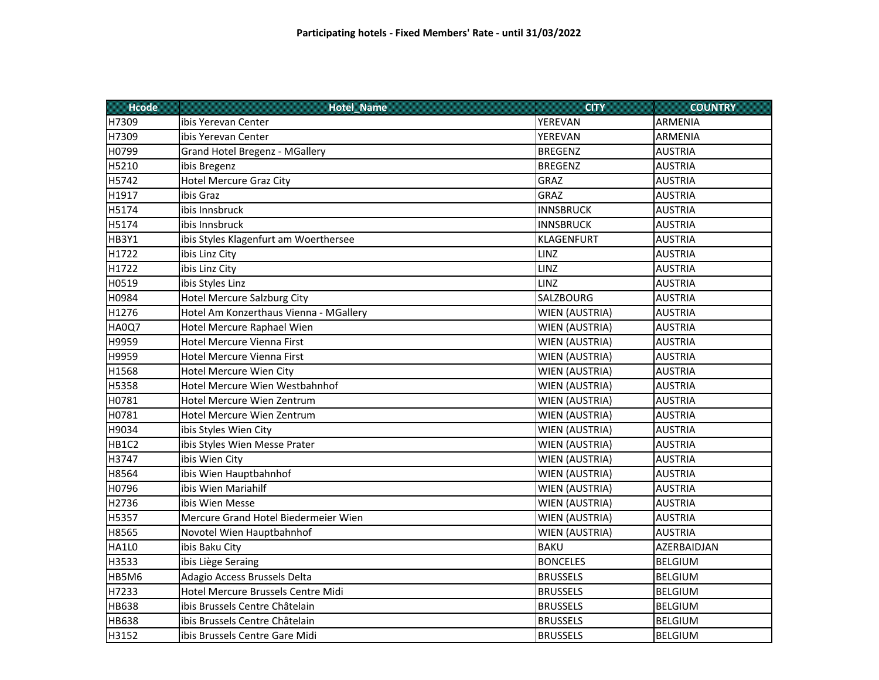| <b>TROLLE</b> | Hotalivanta                            | qin                   | <b>COUNTRY</b> |
|---------------|----------------------------------------|-----------------------|----------------|
| H7309         | ibis Yerevan Center                    | YEREVAN               | <b>ARMENIA</b> |
| H7309         | ibis Yerevan Center                    | YEREVAN               | <b>ARMENIA</b> |
| H0799         | <b>Grand Hotel Bregenz - MGallery</b>  | <b>BREGENZ</b>        | <b>AUSTRIA</b> |
| H5210         | ibis Bregenz                           | <b>BREGENZ</b>        | <b>AUSTRIA</b> |
| H5742         | <b>Hotel Mercure Graz City</b>         | GRAZ                  | <b>AUSTRIA</b> |
| H1917         | ibis Graz                              | GRAZ                  | <b>AUSTRIA</b> |
| H5174         | ibis Innsbruck                         | <b>INNSBRUCK</b>      | <b>AUSTRIA</b> |
| H5174         | ibis Innsbruck                         | <b>INNSBRUCK</b>      | <b>AUSTRIA</b> |
| HB3Y1         | ibis Styles Klagenfurt am Woerthersee  | <b>KLAGENFURT</b>     | <b>AUSTRIA</b> |
| H1722         | ibis Linz City                         | LINZ                  | <b>AUSTRIA</b> |
| H1722         | ibis Linz City                         | LINZ                  | <b>AUSTRIA</b> |
| H0519         | ibis Styles Linz                       | LINZ                  | <b>AUSTRIA</b> |
| H0984         | <b>Hotel Mercure Salzburg City</b>     | <b>SALZBOURG</b>      | <b>AUSTRIA</b> |
| H1276         | Hotel Am Konzerthaus Vienna - MGallery | WIEN (AUSTRIA)        | <b>AUSTRIA</b> |
| HA0Q7         | Hotel Mercure Raphael Wien             | WIEN (AUSTRIA)        | <b>AUSTRIA</b> |
| H9959         | <b>Hotel Mercure Vienna First</b>      | <b>WIEN (AUSTRIA)</b> | <b>AUSTRIA</b> |
| H9959         | <b>Hotel Mercure Vienna First</b>      | <b>WIEN (AUSTRIA)</b> | <b>AUSTRIA</b> |
| H1568         | <b>Hotel Mercure Wien City</b>         | <b>WIEN (AUSTRIA)</b> | <b>AUSTRIA</b> |
| H5358         | Hotel Mercure Wien Westbahnhof         | <b>WIEN (AUSTRIA)</b> | <b>AUSTRIA</b> |
| H0781         | Hotel Mercure Wien Zentrum             | <b>WIEN (AUSTRIA)</b> | <b>AUSTRIA</b> |
| H0781         | Hotel Mercure Wien Zentrum             | WIEN (AUSTRIA)        | <b>AUSTRIA</b> |
| H9034         | ibis Styles Wien City                  | <b>WIEN (AUSTRIA)</b> | <b>AUSTRIA</b> |
| HB1C2         | ibis Styles Wien Messe Prater          | WIEN (AUSTRIA)        | <b>AUSTRIA</b> |
| H3747         | ibis Wien City                         | <b>WIEN (AUSTRIA)</b> | <b>AUSTRIA</b> |
| H8564         | ibis Wien Hauptbahnhof                 | WIEN (AUSTRIA)        | <b>AUSTRIA</b> |
| H0796         | ibis Wien Mariahilf                    | WIEN (AUSTRIA)        | <b>AUSTRIA</b> |
| H2736         | ibis Wien Messe                        | <b>WIEN (AUSTRIA)</b> | <b>AUSTRIA</b> |
| H5357         | Mercure Grand Hotel Biedermeier Wien   | WIEN (AUSTRIA)        | <b>AUSTRIA</b> |
| H8565         | Novotel Wien Hauptbahnhof              | <b>WIEN (AUSTRIA)</b> | <b>AUSTRIA</b> |
| HA1L0         | ibis Baku City                         | <b>BAKU</b>           | AZERBAIDJAN    |
| H3533         | ibis Liège Seraing                     | <b>BONCELES</b>       | <b>BELGIUM</b> |
| HB5M6         | Adagio Access Brussels Delta           | <b>BRUSSELS</b>       | <b>BELGIUM</b> |
| H7233         | Hotel Mercure Brussels Centre Midi     | <b>BRUSSELS</b>       | <b>BELGIUM</b> |
| <b>HB638</b>  | ibis Brussels Centre Châtelain         | <b>BRUSSELS</b>       | <b>BELGIUM</b> |
| <b>HB638</b>  | ibis Brussels Centre Châtelain         | <b>BRUSSELS</b>       | <b>BELGIUM</b> |
| H3152         | ibis Brussels Centre Gare Midi         | <b>BRUSSELS</b>       | <b>BELGIUM</b> |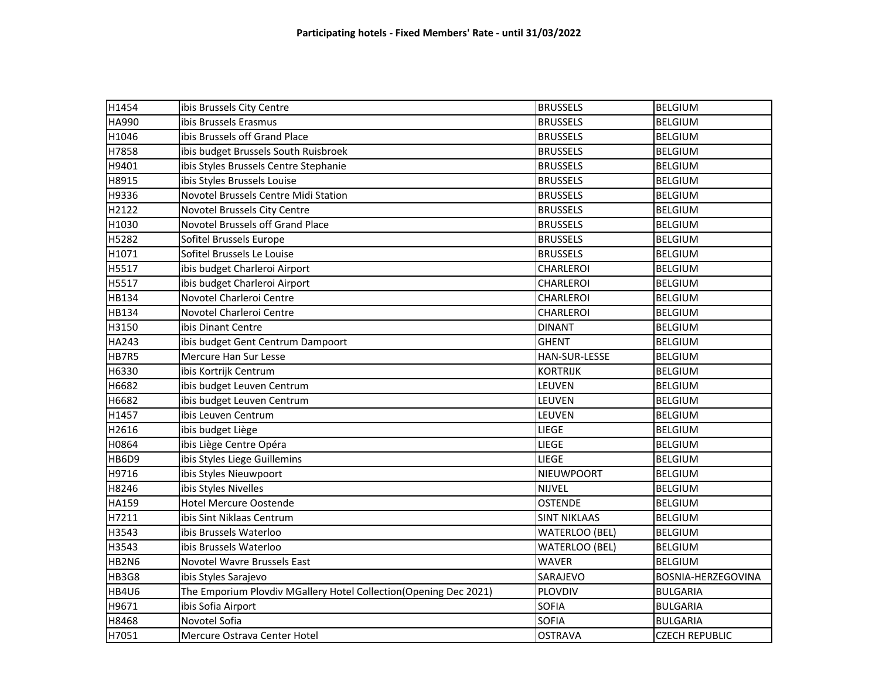| H1454        | ibis Brussels City Centre                                         | <b>BRUSSELS</b>       | <b>BELGIUM</b>        |
|--------------|-------------------------------------------------------------------|-----------------------|-----------------------|
| <b>HA990</b> | ibis Brussels Erasmus                                             | <b>BRUSSELS</b>       | <b>BELGIUM</b>        |
| H1046        | ibis Brussels off Grand Place                                     | <b>BRUSSELS</b>       | <b>BELGIUM</b>        |
| H7858        | ibis budget Brussels South Ruisbroek                              | <b>BRUSSELS</b>       | <b>BELGIUM</b>        |
| H9401        | ibis Styles Brussels Centre Stephanie                             | <b>BRUSSELS</b>       | <b>BELGIUM</b>        |
| H8915        | ibis Styles Brussels Louise                                       | <b>BRUSSELS</b>       | <b>BELGIUM</b>        |
| H9336        | Novotel Brussels Centre Midi Station                              | <b>BRUSSELS</b>       | <b>BELGIUM</b>        |
| H2122        | Novotel Brussels City Centre                                      | <b>BRUSSELS</b>       | <b>BELGIUM</b>        |
| H1030        | Novotel Brussels off Grand Place                                  | <b>BRUSSELS</b>       | <b>BELGIUM</b>        |
| H5282        | Sofitel Brussels Europe                                           | <b>BRUSSELS</b>       | <b>BELGIUM</b>        |
| H1071        | Sofitel Brussels Le Louise                                        | <b>BRUSSELS</b>       | <b>BELGIUM</b>        |
| H5517        | ibis budget Charleroi Airport                                     | CHARLEROI             | <b>BELGIUM</b>        |
| H5517        | ibis budget Charleroi Airport                                     | CHARLEROI             | <b>BELGIUM</b>        |
| <b>HB134</b> | Novotel Charleroi Centre                                          | CHARLEROI             | <b>BELGIUM</b>        |
| HB134        | Novotel Charleroi Centre                                          | <b>CHARLEROI</b>      | <b>BELGIUM</b>        |
| H3150        | ibis Dinant Centre                                                | <b>DINANT</b>         | <b>BELGIUM</b>        |
| HA243        | ibis budget Gent Centrum Dampoort                                 | <b>GHENT</b>          | <b>BELGIUM</b>        |
| HB7R5        | Mercure Han Sur Lesse                                             | HAN-SUR-LESSE         | <b>BELGIUM</b>        |
| H6330        | ibis Kortrijk Centrum                                             | <b>KORTRIJK</b>       | <b>BELGIUM</b>        |
| H6682        | ibis budget Leuven Centrum                                        | LEUVEN                | <b>BELGIUM</b>        |
| H6682        | ibis budget Leuven Centrum                                        | LEUVEN                | <b>BELGIUM</b>        |
| H1457        | ibis Leuven Centrum                                               | LEUVEN                | <b>BELGIUM</b>        |
| H2616        | ibis budget Liège                                                 | <b>LIEGE</b>          | <b>BELGIUM</b>        |
| H0864        | ibis Liège Centre Opéra                                           | <b>LIEGE</b>          | <b>BELGIUM</b>        |
| HB6D9        | ibis Styles Liege Guillemins                                      | LIEGE                 | <b>BELGIUM</b>        |
| H9716        | ibis Styles Nieuwpoort                                            | NIEUWPOORT            | <b>BELGIUM</b>        |
| H8246        | ibis Styles Nivelles                                              | <b>NIJVEL</b>         | <b>BELGIUM</b>        |
| HA159        | <b>Hotel Mercure Oostende</b>                                     | <b>OSTENDE</b>        | <b>BELGIUM</b>        |
| H7211        | ibis Sint Niklaas Centrum                                         | <b>SINT NIKLAAS</b>   | <b>BELGIUM</b>        |
| H3543        | ibis Brussels Waterloo                                            | <b>WATERLOO (BEL)</b> | <b>BELGIUM</b>        |
| H3543        | ibis Brussels Waterloo                                            | <b>WATERLOO (BEL)</b> | <b>BELGIUM</b>        |
| HB2N6        | Novotel Wavre Brussels East                                       | <b>WAVER</b>          | <b>BELGIUM</b>        |
| HB3G8        | ibis Styles Sarajevo                                              | SARAJEVO              | BOSNIA-HERZEGOVINA    |
| HB4U6        | The Emporium Plovdiv MGallery Hotel Collection (Opening Dec 2021) | PLOVDIV               | <b>BULGARIA</b>       |
| H9671        | ibis Sofia Airport                                                | <b>SOFIA</b>          | <b>BULGARIA</b>       |
| H8468        | Novotel Sofia                                                     | <b>SOFIA</b>          | <b>BULGARIA</b>       |
| H7051        | Mercure Ostrava Center Hotel                                      | <b>OSTRAVA</b>        | <b>CZECH REPUBLIC</b> |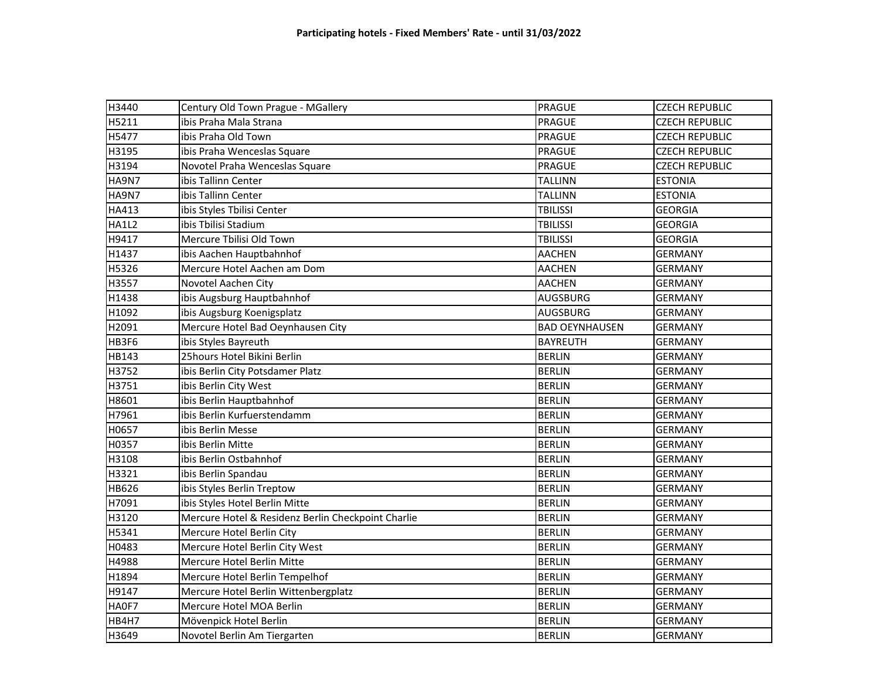| H3440        | Century Old Town Prague - MGallery                 | <b>PRAGUE</b>         | <b>CZECH REPUBLIC</b> |
|--------------|----------------------------------------------------|-----------------------|-----------------------|
| H5211        | ibis Praha Mala Strana                             | PRAGUE                | <b>CZECH REPUBLIC</b> |
| H5477        | ibis Praha Old Town                                | PRAGUE                | <b>CZECH REPUBLIC</b> |
| H3195        | ibis Praha Wenceslas Square                        | PRAGUE                | <b>CZECH REPUBLIC</b> |
| H3194        | Novotel Praha Wenceslas Square                     | <b>PRAGUE</b>         | <b>CZECH REPUBLIC</b> |
| <b>HA9N7</b> | ibis Tallinn Center                                | <b>TALLINN</b>        | <b>ESTONIA</b>        |
| HA9N7        | ibis Tallinn Center                                | <b>TALLINN</b>        | <b>ESTONIA</b>        |
| HA413        | ibis Styles Tbilisi Center                         | <b>TBILISSI</b>       | <b>GEORGIA</b>        |
| HA1L2        | ibis Tbilisi Stadium                               | <b>TBILISSI</b>       | <b>GEORGIA</b>        |
| H9417        | Mercure Tbilisi Old Town                           | <b>TBILISSI</b>       | <b>GEORGIA</b>        |
| H1437        | ibis Aachen Hauptbahnhof                           | <b>AACHEN</b>         | <b>GERMANY</b>        |
| H5326        | Mercure Hotel Aachen am Dom                        | <b>AACHEN</b>         | <b>GERMANY</b>        |
| H3557        | Novotel Aachen City                                | <b>AACHEN</b>         | <b>GERMANY</b>        |
| H1438        | ibis Augsburg Hauptbahnhof                         | <b>AUGSBURG</b>       | <b>GERMANY</b>        |
| H1092        | ibis Augsburg Koenigsplatz                         | <b>AUGSBURG</b>       | <b>GERMANY</b>        |
| H2091        | Mercure Hotel Bad Oeynhausen City                  | <b>BAD OEYNHAUSEN</b> | <b>GERMANY</b>        |
| HB3F6        | ibis Styles Bayreuth                               | <b>BAYREUTH</b>       | <b>GERMANY</b>        |
| HB143        | 25hours Hotel Bikini Berlin                        | <b>BERLIN</b>         | <b>GERMANY</b>        |
| H3752        | ibis Berlin City Potsdamer Platz                   | <b>BERLIN</b>         | <b>GERMANY</b>        |
| H3751        | ibis Berlin City West                              | <b>BERLIN</b>         | <b>GERMANY</b>        |
| H8601        | ibis Berlin Hauptbahnhof                           | <b>BERLIN</b>         | <b>GERMANY</b>        |
| H7961        | ibis Berlin Kurfuerstendamm                        | <b>BERLIN</b>         | <b>GERMANY</b>        |
| H0657        | ibis Berlin Messe                                  | <b>BERLIN</b>         | <b>GERMANY</b>        |
| H0357        | ibis Berlin Mitte                                  | <b>BERLIN</b>         | <b>GERMANY</b>        |
| H3108        | ibis Berlin Ostbahnhof                             | <b>BERLIN</b>         | <b>GERMANY</b>        |
| H3321        | ibis Berlin Spandau                                | <b>BERLIN</b>         | <b>GERMANY</b>        |
| <b>HB626</b> | ibis Styles Berlin Treptow                         | <b>BERLIN</b>         | <b>GERMANY</b>        |
| H7091        | ibis Styles Hotel Berlin Mitte                     | <b>BERLIN</b>         | <b>GERMANY</b>        |
| H3120        | Mercure Hotel & Residenz Berlin Checkpoint Charlie | <b>BERLIN</b>         | <b>GERMANY</b>        |
| H5341        | Mercure Hotel Berlin City                          | <b>BERLIN</b>         | <b>GERMANY</b>        |
| H0483        | Mercure Hotel Berlin City West                     | <b>BERLIN</b>         | <b>GERMANY</b>        |
| H4988        | Mercure Hotel Berlin Mitte                         | <b>BERLIN</b>         | <b>GERMANY</b>        |
| H1894        | Mercure Hotel Berlin Tempelhof                     | <b>BERLIN</b>         | <b>GERMANY</b>        |
| H9147        | Mercure Hotel Berlin Wittenbergplatz               | <b>BERLIN</b>         | <b>GERMANY</b>        |
| HA0F7        | Mercure Hotel MOA Berlin                           | <b>BERLIN</b>         | <b>GERMANY</b>        |
| HB4H7        | Mövenpick Hotel Berlin                             | <b>BERLIN</b>         | <b>GERMANY</b>        |
| H3649        | Novotel Berlin Am Tiergarten                       | <b>BERLIN</b>         | <b>GERMANY</b>        |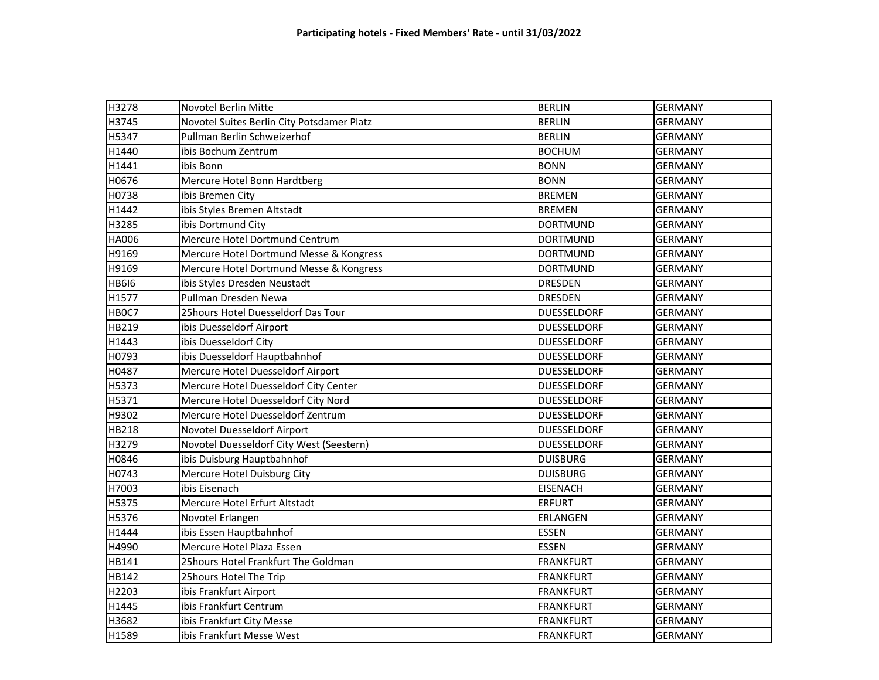| H3278        | Novotel Berlin Mitte                       | <b>BERLIN</b>      | <b>GERMANY</b> |
|--------------|--------------------------------------------|--------------------|----------------|
| H3745        | Novotel Suites Berlin City Potsdamer Platz | <b>BERLIN</b>      | <b>GERMANY</b> |
| H5347        | Pullman Berlin Schweizerhof                | <b>BERLIN</b>      | <b>GERMANY</b> |
| H1440        | ibis Bochum Zentrum                        | <b>BOCHUM</b>      | <b>GERMANY</b> |
| H1441        | ibis Bonn                                  | <b>BONN</b>        | <b>GERMANY</b> |
| H0676        | Mercure Hotel Bonn Hardtberg               | <b>BONN</b>        | <b>GERMANY</b> |
| H0738        | ibis Bremen City                           | <b>BREMEN</b>      | <b>GERMANY</b> |
| H1442        | ibis Styles Bremen Altstadt                | <b>BREMEN</b>      | <b>GERMANY</b> |
| H3285        | ibis Dortmund City                         | <b>DORTMUND</b>    | <b>GERMANY</b> |
| <b>HA006</b> | Mercure Hotel Dortmund Centrum             | <b>DORTMUND</b>    | <b>GERMANY</b> |
| H9169        | Mercure Hotel Dortmund Messe & Kongress    | <b>DORTMUND</b>    | <b>GERMANY</b> |
| H9169        | Mercure Hotel Dortmund Messe & Kongress    | <b>DORTMUND</b>    | <b>GERMANY</b> |
| <b>HB6I6</b> | ibis Styles Dresden Neustadt               | <b>DRESDEN</b>     | <b>GERMANY</b> |
| H1577        | Pullman Dresden Newa                       | <b>DRESDEN</b>     | <b>GERMANY</b> |
| HBOC7        | 25hours Hotel Duesseldorf Das Tour         | <b>DUESSELDORF</b> | <b>GERMANY</b> |
| HB219        | ibis Duesseldorf Airport                   | <b>DUESSELDORF</b> | <b>GERMANY</b> |
| H1443        | ibis Duesseldorf City                      | <b>DUESSELDORF</b> | <b>GERMANY</b> |
| H0793        | ibis Duesseldorf Hauptbahnhof              | <b>DUESSELDORF</b> | <b>GERMANY</b> |
| H0487        | Mercure Hotel Duesseldorf Airport          | <b>DUESSELDORF</b> | <b>GERMANY</b> |
| H5373        | Mercure Hotel Duesseldorf City Center      | <b>DUESSELDORF</b> | <b>GERMANY</b> |
| H5371        | Mercure Hotel Duesseldorf City Nord        | <b>DUESSELDORF</b> | <b>GERMANY</b> |
| H9302        | Mercure Hotel Duesseldorf Zentrum          | <b>DUESSELDORF</b> | <b>GERMANY</b> |
| HB218        | Novotel Duesseldorf Airport                | <b>DUESSELDORF</b> | <b>GERMANY</b> |
| H3279        | Novotel Duesseldorf City West (Seestern)   | <b>DUESSELDORF</b> | <b>GERMANY</b> |
| H0846        | ibis Duisburg Hauptbahnhof                 | <b>DUISBURG</b>    | <b>GERMANY</b> |
| H0743        | Mercure Hotel Duisburg City                | <b>DUISBURG</b>    | <b>GERMANY</b> |
| H7003        | ibis Eisenach                              | <b>EISENACH</b>    | <b>GERMANY</b> |
| H5375        | Mercure Hotel Erfurt Altstadt              | <b>ERFURT</b>      | <b>GERMANY</b> |
| H5376        | Novotel Erlangen                           | <b>ERLANGEN</b>    | <b>GERMANY</b> |
| H1444        | ibis Essen Hauptbahnhof                    | <b>ESSEN</b>       | <b>GERMANY</b> |
| H4990        | Mercure Hotel Plaza Essen                  | <b>ESSEN</b>       | <b>GERMANY</b> |
| HB141        | 25hours Hotel Frankfurt The Goldman        | <b>FRANKFURT</b>   | <b>GERMANY</b> |
| HB142        | 25hours Hotel The Trip                     | <b>FRANKFURT</b>   | <b>GERMANY</b> |
| H2203        | ibis Frankfurt Airport                     | <b>FRANKFURT</b>   | <b>GERMANY</b> |
| H1445        | ibis Frankfurt Centrum                     | <b>FRANKFURT</b>   | <b>GERMANY</b> |
| H3682        | ibis Frankfurt City Messe                  | <b>FRANKFURT</b>   | <b>GERMANY</b> |
| H1589        | ibis Frankfurt Messe West                  | <b>FRANKFURT</b>   | <b>GERMANY</b> |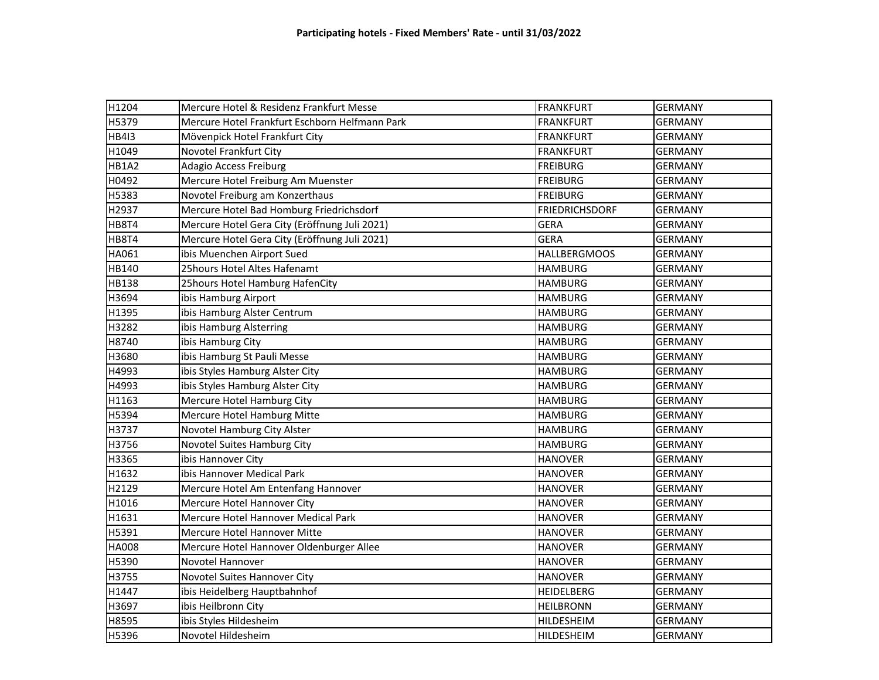| H1204        | Mercure Hotel & Residenz Frankfurt Messe       | <b>FRANKFURT</b>      | <b>GERMANY</b> |
|--------------|------------------------------------------------|-----------------------|----------------|
| H5379        | Mercure Hotel Frankfurt Eschborn Helfmann Park | <b>FRANKFURT</b>      | <b>GERMANY</b> |
| <b>HB4I3</b> | Mövenpick Hotel Frankfurt City                 | <b>FRANKFURT</b>      | <b>GERMANY</b> |
| H1049        | Novotel Frankfurt City                         | <b>FRANKFURT</b>      | <b>GERMANY</b> |
| HB1A2        | <b>Adagio Access Freiburg</b>                  | <b>FREIBURG</b>       | <b>GERMANY</b> |
| H0492        | Mercure Hotel Freiburg Am Muenster             | <b>FREIBURG</b>       | <b>GERMANY</b> |
| H5383        | Novotel Freiburg am Konzerthaus                | <b>FREIBURG</b>       | <b>GERMANY</b> |
| H2937        | Mercure Hotel Bad Homburg Friedrichsdorf       | <b>FRIEDRICHSDORF</b> | <b>GERMANY</b> |
| HB8T4        | Mercure Hotel Gera City (Eröffnung Juli 2021)  | <b>GERA</b>           | <b>GERMANY</b> |
| HB8T4        | Mercure Hotel Gera City (Eröffnung Juli 2021)  | <b>GERA</b>           | <b>GERMANY</b> |
| HA061        | ibis Muenchen Airport Sued                     | <b>HALLBERGMOOS</b>   | <b>GERMANY</b> |
| HB140        | 25hours Hotel Altes Hafenamt                   | <b>HAMBURG</b>        | <b>GERMANY</b> |
| HB138        | 25hours Hotel Hamburg HafenCity                | <b>HAMBURG</b>        | <b>GERMANY</b> |
| H3694        | ibis Hamburg Airport                           | <b>HAMBURG</b>        | <b>GERMANY</b> |
| H1395        | ibis Hamburg Alster Centrum                    | <b>HAMBURG</b>        | <b>GERMANY</b> |
| H3282        | ibis Hamburg Alsterring                        | <b>HAMBURG</b>        | <b>GERMANY</b> |
| H8740        | ibis Hamburg City                              | <b>HAMBURG</b>        | <b>GERMANY</b> |
| H3680        | ibis Hamburg St Pauli Messe                    | <b>HAMBURG</b>        | <b>GERMANY</b> |
| H4993        | ibis Styles Hamburg Alster City                | <b>HAMBURG</b>        | <b>GERMANY</b> |
| H4993        | ibis Styles Hamburg Alster City                | <b>HAMBURG</b>        | <b>GERMANY</b> |
| H1163        | Mercure Hotel Hamburg City                     | <b>HAMBURG</b>        | <b>GERMANY</b> |
| H5394        | Mercure Hotel Hamburg Mitte                    | <b>HAMBURG</b>        | <b>GERMANY</b> |
| H3737        | Novotel Hamburg City Alster                    | <b>HAMBURG</b>        | <b>GERMANY</b> |
| H3756        | Novotel Suites Hamburg City                    | <b>HAMBURG</b>        | <b>GERMANY</b> |
| H3365        | ibis Hannover City                             | <b>HANOVER</b>        | <b>GERMANY</b> |
| H1632        | ibis Hannover Medical Park                     | <b>HANOVER</b>        | <b>GERMANY</b> |
| H2129        | Mercure Hotel Am Entenfang Hannover            | <b>HANOVER</b>        | <b>GERMANY</b> |
| H1016        | Mercure Hotel Hannover City                    | <b>HANOVER</b>        | <b>GERMANY</b> |
| H1631        | Mercure Hotel Hannover Medical Park            | <b>HANOVER</b>        | <b>GERMANY</b> |
| H5391        | Mercure Hotel Hannover Mitte                   | <b>HANOVER</b>        | <b>GERMANY</b> |
| <b>HA008</b> | Mercure Hotel Hannover Oldenburger Allee       | <b>HANOVER</b>        | <b>GERMANY</b> |
| H5390        | Novotel Hannover                               | <b>HANOVER</b>        | <b>GERMANY</b> |
| H3755        | Novotel Suites Hannover City                   | <b>HANOVER</b>        | <b>GERMANY</b> |
| H1447        | ibis Heidelberg Hauptbahnhof                   | <b>HEIDELBERG</b>     | <b>GERMANY</b> |
| H3697        | ibis Heilbronn City                            | <b>HEILBRONN</b>      | <b>GERMANY</b> |
| H8595        | ibis Styles Hildesheim                         | <b>HILDESHEIM</b>     | <b>GERMANY</b> |
| H5396        | Novotel Hildesheim                             | HILDESHEIM            | <b>GERMANY</b> |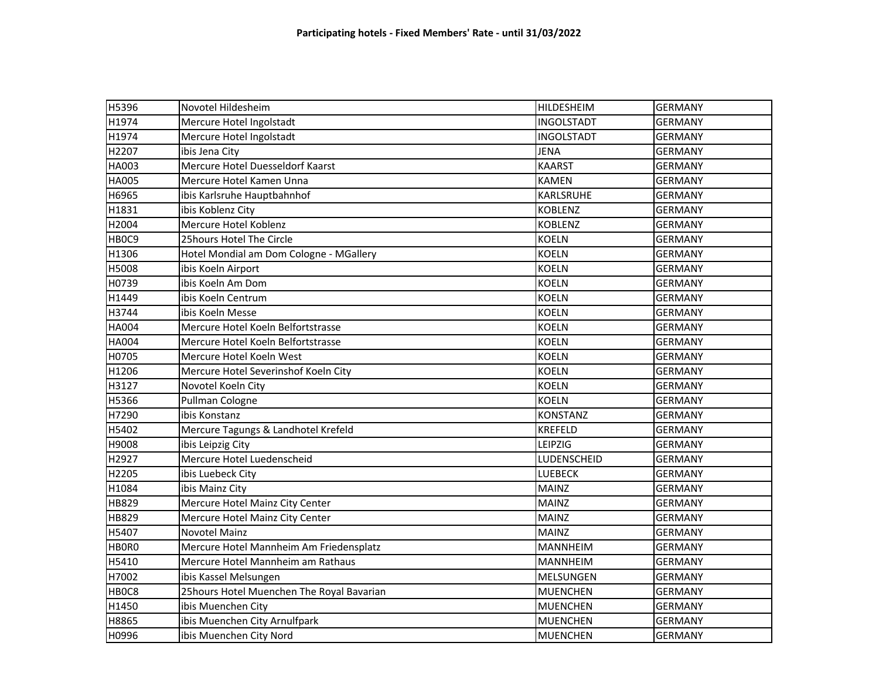| H5396             | Novotel Hildesheim                        | <b>HILDESHEIM</b> | <b>GERMANY</b> |
|-------------------|-------------------------------------------|-------------------|----------------|
| H1974             | Mercure Hotel Ingolstadt                  | <b>INGOLSTADT</b> | <b>GERMANY</b> |
| H1974             | Mercure Hotel Ingolstadt                  | <b>INGOLSTADT</b> | <b>GERMANY</b> |
| H2207             | ibis Jena City                            | <b>JENA</b>       | <b>GERMANY</b> |
| HA003             | Mercure Hotel Duesseldorf Kaarst          | <b>KAARST</b>     | <b>GERMANY</b> |
| HA005             | Mercure Hotel Kamen Unna                  | <b>KAMEN</b>      | <b>GERMANY</b> |
| H6965             | ibis Karlsruhe Hauptbahnhof               | KARLSRUHE         | <b>GERMANY</b> |
| H1831             | ibis Koblenz City                         | <b>KOBLENZ</b>    | <b>GERMANY</b> |
| H2004             | Mercure Hotel Koblenz                     | <b>KOBLENZ</b>    | <b>GERMANY</b> |
| HBOC9             | 25hours Hotel The Circle                  | <b>KOELN</b>      | <b>GERMANY</b> |
| H1306             | Hotel Mondial am Dom Cologne - MGallery   | <b>KOELN</b>      | <b>GERMANY</b> |
| H5008             | ibis Koeln Airport                        | <b>KOELN</b>      | <b>GERMANY</b> |
| H0739             | ibis Koeln Am Dom                         | <b>KOELN</b>      | <b>GERMANY</b> |
| H1449             | ibis Koeln Centrum                        | <b>KOELN</b>      | <b>GERMANY</b> |
| H3744             | ibis Koeln Messe                          | <b>KOELN</b>      | <b>GERMANY</b> |
| HA004             | Mercure Hotel Koeln Belfortstrasse        | <b>KOELN</b>      | <b>GERMANY</b> |
| <b>HA004</b>      | Mercure Hotel Koeln Belfortstrasse        | <b>KOELN</b>      | <b>GERMANY</b> |
| H0705             | Mercure Hotel Koeln West                  | <b>KOELN</b>      | <b>GERMANY</b> |
| H1206             | Mercure Hotel Severinshof Koeln City      | <b>KOELN</b>      | <b>GERMANY</b> |
| H3127             | Novotel Koeln City                        | <b>KOELN</b>      | <b>GERMANY</b> |
| H5366             | Pullman Cologne                           | <b>KOELN</b>      | <b>GERMANY</b> |
| H7290             | ibis Konstanz                             | <b>KONSTANZ</b>   | <b>GERMANY</b> |
| H5402             | Mercure Tagungs & Landhotel Krefeld       | <b>KREFELD</b>    | <b>GERMANY</b> |
| H9008             | ibis Leipzig City                         | LEIPZIG           | <b>GERMANY</b> |
| H2927             | Mercure Hotel Luedenscheid                | LUDENSCHEID       | <b>GERMANY</b> |
| H2205             | ibis Luebeck City                         | <b>LUEBECK</b>    | <b>GERMANY</b> |
| H1084             | ibis Mainz City                           | <b>MAINZ</b>      | <b>GERMANY</b> |
| HB829             | Mercure Hotel Mainz City Center           | <b>MAINZ</b>      | <b>GERMANY</b> |
| HB829             | Mercure Hotel Mainz City Center           | <b>MAINZ</b>      | <b>GERMANY</b> |
| H5407             | Novotel Mainz                             | <b>MAINZ</b>      | <b>GERMANY</b> |
| HBOR <sub>0</sub> | Mercure Hotel Mannheim Am Friedensplatz   | <b>MANNHEIM</b>   | <b>GERMANY</b> |
| H5410             | Mercure Hotel Mannheim am Rathaus         | <b>MANNHEIM</b>   | <b>GERMANY</b> |
| H7002             | ibis Kassel Melsungen                     | <b>MELSUNGEN</b>  | <b>GERMANY</b> |
| HB0C8             | 25hours Hotel Muenchen The Royal Bavarian | <b>MUENCHEN</b>   | <b>GERMANY</b> |
| H1450             | ibis Muenchen City                        | <b>MUENCHEN</b>   | <b>GERMANY</b> |
| H8865             | ibis Muenchen City Arnulfpark             | <b>MUENCHEN</b>   | <b>GERMANY</b> |
| H0996             | ibis Muenchen City Nord                   | <b>MUENCHEN</b>   | <b>GERMANY</b> |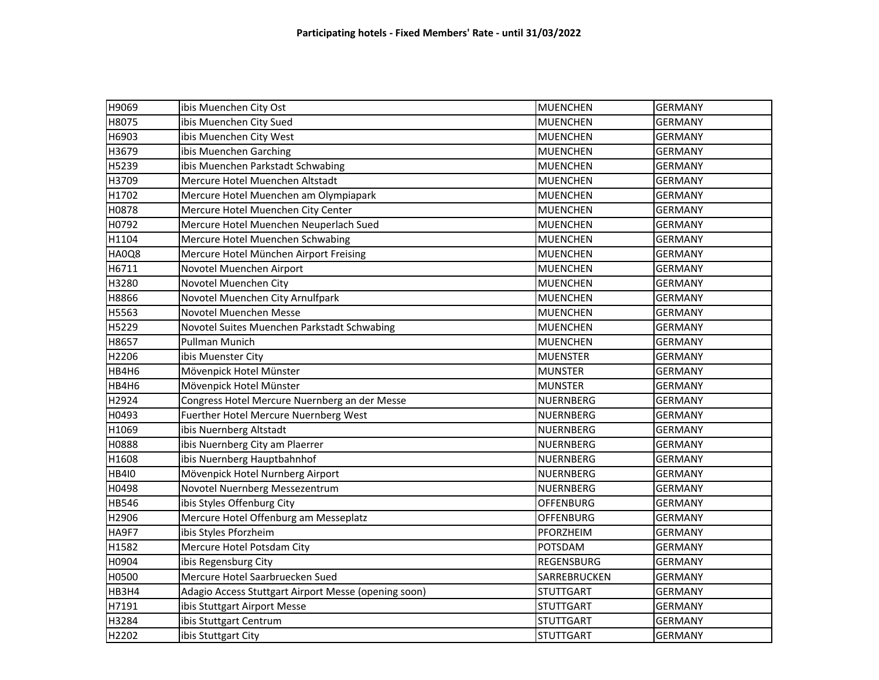| H9069        | ibis Muenchen City Ost                               | <b>MUENCHEN</b>   | <b>GERMANY</b> |
|--------------|------------------------------------------------------|-------------------|----------------|
| H8075        | ibis Muenchen City Sued                              | <b>MUENCHEN</b>   | <b>GERMANY</b> |
| H6903        | ibis Muenchen City West                              | <b>MUENCHEN</b>   | <b>GERMANY</b> |
| H3679        | ibis Muenchen Garching                               | <b>MUENCHEN</b>   | <b>GERMANY</b> |
| H5239        | ibis Muenchen Parkstadt Schwabing                    | <b>MUENCHEN</b>   | <b>GERMANY</b> |
| H3709        | Mercure Hotel Muenchen Altstadt                      | <b>MUENCHEN</b>   | <b>GERMANY</b> |
| H1702        | Mercure Hotel Muenchen am Olympiapark                | <b>MUENCHEN</b>   | <b>GERMANY</b> |
| H0878        | Mercure Hotel Muenchen City Center                   | <b>MUENCHEN</b>   | <b>GERMANY</b> |
| H0792        | Mercure Hotel Muenchen Neuperlach Sued               | <b>MUENCHEN</b>   | <b>GERMANY</b> |
| H1104        | Mercure Hotel Muenchen Schwabing                     | <b>MUENCHEN</b>   | <b>GERMANY</b> |
| HA0Q8        | Mercure Hotel München Airport Freising               | <b>MUENCHEN</b>   | <b>GERMANY</b> |
| H6711        | Novotel Muenchen Airport                             | <b>MUENCHEN</b>   | <b>GERMANY</b> |
| H3280        | Novotel Muenchen City                                | <b>MUENCHEN</b>   | <b>GERMANY</b> |
| H8866        | Novotel Muenchen City Arnulfpark                     | <b>MUENCHEN</b>   | <b>GERMANY</b> |
| H5563        | Novotel Muenchen Messe                               | <b>MUENCHEN</b>   | <b>GERMANY</b> |
| H5229        | Novotel Suites Muenchen Parkstadt Schwabing          | <b>MUENCHEN</b>   | <b>GERMANY</b> |
| H8657        | <b>Pullman Munich</b>                                | <b>MUENCHEN</b>   | <b>GERMANY</b> |
| H2206        | ibis Muenster City                                   | <b>MUENSTER</b>   | <b>GERMANY</b> |
| HB4H6        | Mövenpick Hotel Münster                              | <b>MUNSTER</b>    | <b>GERMANY</b> |
| HB4H6        | Mövenpick Hotel Münster                              | <b>MUNSTER</b>    | <b>GERMANY</b> |
| H2924        | Congress Hotel Mercure Nuernberg an der Messe        | <b>NUERNBERG</b>  | <b>GERMANY</b> |
| H0493        | Fuerther Hotel Mercure Nuernberg West                | <b>NUERNBERG</b>  | <b>GERMANY</b> |
| H1069        | ibis Nuernberg Altstadt                              | <b>NUERNBERG</b>  | <b>GERMANY</b> |
| H0888        | ibis Nuernberg City am Plaerrer                      | <b>NUERNBERG</b>  | <b>GERMANY</b> |
| H1608        | ibis Nuernberg Hauptbahnhof                          | <b>NUERNBERG</b>  | <b>GERMANY</b> |
| <b>HB4I0</b> | Mövenpick Hotel Nurnberg Airport                     | <b>NUERNBERG</b>  | <b>GERMANY</b> |
| H0498        | Novotel Nuernberg Messezentrum                       | NUERNBERG         | <b>GERMANY</b> |
| <b>HB546</b> | ibis Styles Offenburg City                           | <b>OFFENBURG</b>  | <b>GERMANY</b> |
| H2906        | Mercure Hotel Offenburg am Messeplatz                | <b>OFFENBURG</b>  | <b>GERMANY</b> |
| HA9F7        | ibis Styles Pforzheim                                | PFORZHEIM         | <b>GERMANY</b> |
| H1582        | Mercure Hotel Potsdam City                           | POTSDAM           | <b>GERMANY</b> |
| H0904        | ibis Regensburg City                                 | <b>REGENSBURG</b> | <b>GERMANY</b> |
| H0500        | Mercure Hotel Saarbruecken Sued                      | SARREBRUCKEN      | <b>GERMANY</b> |
| HB3H4        | Adagio Access Stuttgart Airport Messe (opening soon) | <b>STUTTGART</b>  | <b>GERMANY</b> |
| H7191        | ibis Stuttgart Airport Messe                         | <b>STUTTGART</b>  | <b>GERMANY</b> |
| H3284        | ibis Stuttgart Centrum                               | <b>STUTTGART</b>  | <b>GERMANY</b> |
| H2202        | ibis Stuttgart City                                  | <b>STUTTGART</b>  | <b>GERMANY</b> |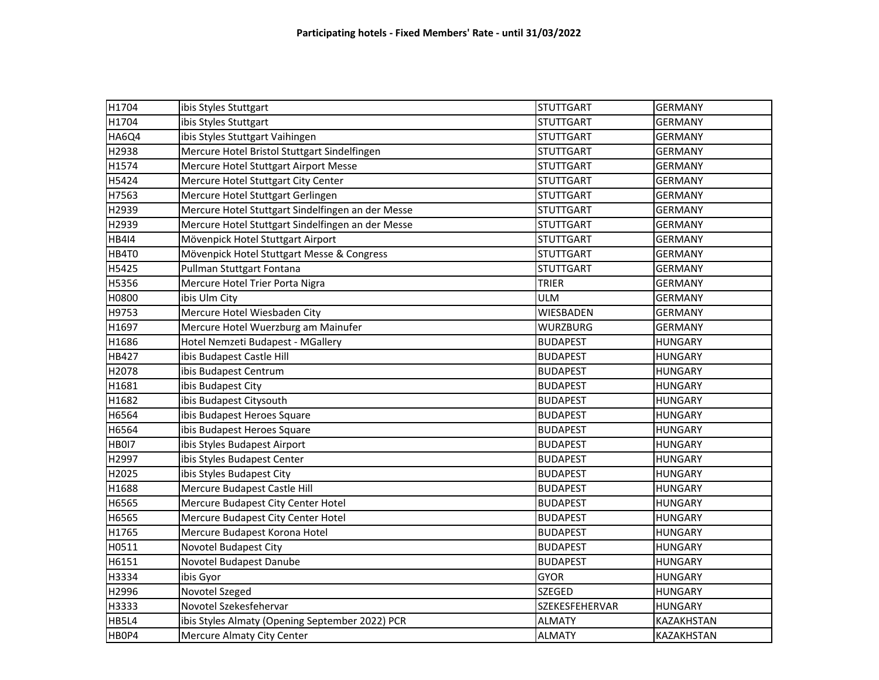| H1704        | ibis Styles Stuttgart                             | <b>STUTTGART</b> | <b>GERMANY</b> |
|--------------|---------------------------------------------------|------------------|----------------|
| H1704        | ibis Styles Stuttgart                             | <b>STUTTGART</b> | <b>GERMANY</b> |
| HA6Q4        | ibis Styles Stuttgart Vaihingen                   | <b>STUTTGART</b> | <b>GERMANY</b> |
| H2938        | Mercure Hotel Bristol Stuttgart Sindelfingen      | <b>STUTTGART</b> | <b>GERMANY</b> |
| H1574        | Mercure Hotel Stuttgart Airport Messe             | <b>STUTTGART</b> | <b>GERMANY</b> |
| H5424        | Mercure Hotel Stuttgart City Center               | <b>STUTTGART</b> | <b>GERMANY</b> |
| H7563        | Mercure Hotel Stuttgart Gerlingen                 | <b>STUTTGART</b> | <b>GERMANY</b> |
| H2939        | Mercure Hotel Stuttgart Sindelfingen an der Messe | <b>STUTTGART</b> | <b>GERMANY</b> |
| H2939        | Mercure Hotel Stuttgart Sindelfingen an der Messe | <b>STUTTGART</b> | <b>GERMANY</b> |
| <b>HB414</b> | Mövenpick Hotel Stuttgart Airport                 | <b>STUTTGART</b> | <b>GERMANY</b> |
| HB4T0        | Mövenpick Hotel Stuttgart Messe & Congress        | <b>STUTTGART</b> | <b>GERMANY</b> |
| H5425        | Pullman Stuttgart Fontana                         | <b>STUTTGART</b> | <b>GERMANY</b> |
| H5356        | Mercure Hotel Trier Porta Nigra                   | <b>TRIER</b>     | <b>GERMANY</b> |
| H0800        | ibis Ulm City                                     | <b>ULM</b>       | <b>GERMANY</b> |
| H9753        | Mercure Hotel Wiesbaden City                      | WIESBADEN        | <b>GERMANY</b> |
| H1697        | Mercure Hotel Wuerzburg am Mainufer               | <b>WURZBURG</b>  | <b>GERMANY</b> |
| H1686        | Hotel Nemzeti Budapest - MGallery                 | <b>BUDAPEST</b>  | <b>HUNGARY</b> |
| HB427        | ibis Budapest Castle Hill                         | <b>BUDAPEST</b>  | <b>HUNGARY</b> |
| H2078        | ibis Budapest Centrum                             | <b>BUDAPEST</b>  | <b>HUNGARY</b> |
| H1681        | ibis Budapest City                                | <b>BUDAPEST</b>  | <b>HUNGARY</b> |
| H1682        | ibis Budapest Citysouth                           | <b>BUDAPEST</b>  | <b>HUNGARY</b> |
| H6564        | ibis Budapest Heroes Square                       | <b>BUDAPEST</b>  | <b>HUNGARY</b> |
| H6564        | ibis Budapest Heroes Square                       | <b>BUDAPEST</b>  | <b>HUNGARY</b> |
| <b>HB0I7</b> | ibis Styles Budapest Airport                      | <b>BUDAPEST</b>  | <b>HUNGARY</b> |
| H2997        | ibis Styles Budapest Center                       | <b>BUDAPEST</b>  | <b>HUNGARY</b> |
| H2025        | ibis Styles Budapest City                         | <b>BUDAPEST</b>  | <b>HUNGARY</b> |
| H1688        | Mercure Budapest Castle Hill                      | <b>BUDAPEST</b>  | <b>HUNGARY</b> |
| H6565        | Mercure Budapest City Center Hotel                | <b>BUDAPEST</b>  | <b>HUNGARY</b> |
| H6565        | Mercure Budapest City Center Hotel                | <b>BUDAPEST</b>  | <b>HUNGARY</b> |
| H1765        | Mercure Budapest Korona Hotel                     | <b>BUDAPEST</b>  | <b>HUNGARY</b> |
| H0511        | Novotel Budapest City                             | <b>BUDAPEST</b>  | <b>HUNGARY</b> |
| H6151        | Novotel Budapest Danube                           | <b>BUDAPEST</b>  | <b>HUNGARY</b> |
| H3334        | ibis Gyor                                         | <b>GYOR</b>      | <b>HUNGARY</b> |
| H2996        | Novotel Szeged                                    | <b>SZEGED</b>    | <b>HUNGARY</b> |
| H3333        | Novotel Szekesfehervar                            | SZEKESFEHERVAR   | <b>HUNGARY</b> |
| HB5L4        | ibis Styles Almaty (Opening September 2022) PCR   | <b>ALMATY</b>    | KAZAKHSTAN     |
| HBOP4        | Mercure Almaty City Center                        | <b>ALMATY</b>    | KAZAKHSTAN     |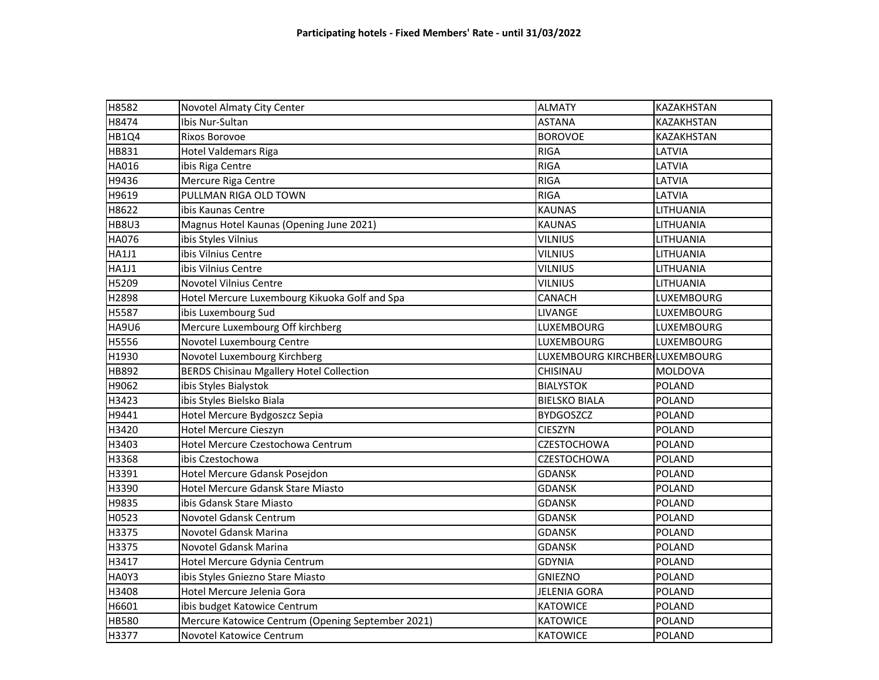| H8582        | Novotel Almaty City Center                        | <b>ALMATY</b>                  | KAZAKHSTAN        |
|--------------|---------------------------------------------------|--------------------------------|-------------------|
| H8474        | Ibis Nur-Sultan                                   | <b>ASTANA</b>                  | KAZAKHSTAN        |
| HB1Q4        | <b>Rixos Borovoe</b>                              | <b>BOROVOE</b>                 | KAZAKHSTAN        |
| HB831        | <b>Hotel Valdemars Riga</b>                       | <b>RIGA</b>                    | LATVIA            |
| HA016        | ibis Riga Centre                                  | <b>RIGA</b>                    | LATVIA            |
| H9436        | Mercure Riga Centre                               | <b>RIGA</b>                    | LATVIA            |
| H9619        | PULLMAN RIGA OLD TOWN                             | <b>RIGA</b>                    | LATVIA            |
| H8622        | ibis Kaunas Centre                                | <b>KAUNAS</b>                  | LITHUANIA         |
| <b>HB8U3</b> | Magnus Hotel Kaunas (Opening June 2021)           | <b>KAUNAS</b>                  | LITHUANIA         |
| <b>HA076</b> | ibis Styles Vilnius                               | <b>VILNIUS</b>                 | LITHUANIA         |
| <b>HA1J1</b> | ibis Vilnius Centre                               | <b>VILNIUS</b>                 | LITHUANIA         |
| <b>HA1J1</b> | ibis Vilnius Centre                               | <b>VILNIUS</b>                 | LITHUANIA         |
| H5209        | <b>Novotel Vilnius Centre</b>                     | <b>VILNIUS</b>                 | LITHUANIA         |
| H2898        | Hotel Mercure Luxembourg Kikuoka Golf and Spa     | <b>CANACH</b>                  | LUXEMBOURG        |
| H5587        | ibis Luxembourg Sud                               | <b>LIVANGE</b>                 | LUXEMBOURG        |
| <b>HA9U6</b> | Mercure Luxembourg Off kirchberg                  | LUXEMBOURG                     | LUXEMBOURG        |
| H5556        | Novotel Luxembourg Centre                         | <b>LUXEMBOURG</b>              | <b>LUXEMBOURG</b> |
| H1930        | Novotel Luxembourg Kirchberg                      | LUXEMBOURG KIRCHBER LUXEMBOURG |                   |
| <b>HB892</b> | <b>BERDS Chisinau Mgallery Hotel Collection</b>   | CHISINAU                       | <b>MOLDOVA</b>    |
| H9062        | ibis Styles Bialystok                             | <b>BIALYSTOK</b>               | <b>POLAND</b>     |
| H3423        | ibis Styles Bielsko Biala                         | <b>BIELSKO BIALA</b>           | <b>POLAND</b>     |
| H9441        | Hotel Mercure Bydgoszcz Sepia                     | <b>BYDGOSZCZ</b>               | <b>POLAND</b>     |
| H3420        | Hotel Mercure Cieszyn                             | <b>CIESZYN</b>                 | <b>POLAND</b>     |
| H3403        | Hotel Mercure Czestochowa Centrum                 | <b>CZESTOCHOWA</b>             | <b>POLAND</b>     |
| H3368        | ibis Czestochowa                                  | <b>CZESTOCHOWA</b>             | <b>POLAND</b>     |
| H3391        | Hotel Mercure Gdansk Posejdon                     | <b>GDANSK</b>                  | <b>POLAND</b>     |
| H3390        | Hotel Mercure Gdansk Stare Miasto                 | <b>GDANSK</b>                  | <b>POLAND</b>     |
| H9835        | ibis Gdansk Stare Miasto                          | <b>GDANSK</b>                  | <b>POLAND</b>     |
| H0523        | Novotel Gdansk Centrum                            | <b>GDANSK</b>                  | <b>POLAND</b>     |
| H3375        | Novotel Gdansk Marina                             | <b>GDANSK</b>                  | <b>POLAND</b>     |
| H3375        | Novotel Gdansk Marina                             | <b>GDANSK</b>                  | <b>POLAND</b>     |
| H3417        | Hotel Mercure Gdynia Centrum                      | <b>GDYNIA</b>                  | <b>POLAND</b>     |
| HA0Y3        | ibis Styles Gniezno Stare Miasto                  | <b>GNIEZNO</b>                 | <b>POLAND</b>     |
| H3408        | Hotel Mercure Jelenia Gora                        | <b>JELENIA GORA</b>            | <b>POLAND</b>     |
| H6601        | ibis budget Katowice Centrum                      | <b>KATOWICE</b>                | <b>POLAND</b>     |
| HB580        | Mercure Katowice Centrum (Opening September 2021) | <b>KATOWICE</b>                | POLAND            |
| H3377        | Novotel Katowice Centrum                          | <b>KATOWICE</b>                | <b>POLAND</b>     |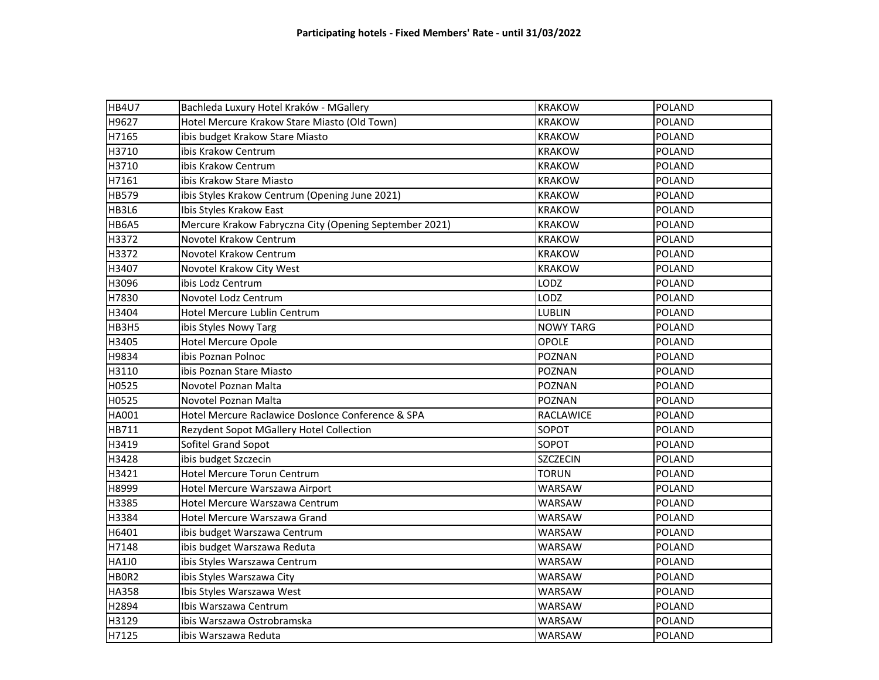| HB4U7        |                                                        | <b>KRAKOW</b>                  | POLAND        |
|--------------|--------------------------------------------------------|--------------------------------|---------------|
| H9627        | Bachleda Luxury Hotel Kraków - MGallery                |                                |               |
| H7165        | Hotel Mercure Krakow Stare Miasto (Old Town)           | <b>KRAKOW</b><br><b>KRAKOW</b> | <b>POLAND</b> |
|              | ibis budget Krakow Stare Miasto                        |                                | <b>POLAND</b> |
| H3710        | ibis Krakow Centrum                                    | <b>KRAKOW</b>                  | <b>POLAND</b> |
| H3710        | ibis Krakow Centrum                                    | <b>KRAKOW</b>                  | <b>POLAND</b> |
| H7161        | ibis Krakow Stare Miasto                               | <b>KRAKOW</b>                  | <b>POLAND</b> |
| <b>HB579</b> | ibis Styles Krakow Centrum (Opening June 2021)         | <b>KRAKOW</b>                  | <b>POLAND</b> |
| HB3L6        | Ibis Styles Krakow East                                | <b>KRAKOW</b>                  | <b>POLAND</b> |
| HB6A5        | Mercure Krakow Fabryczna City (Opening September 2021) | <b>KRAKOW</b>                  | <b>POLAND</b> |
| H3372        | Novotel Krakow Centrum                                 | <b>KRAKOW</b>                  | <b>POLAND</b> |
| H3372        | Novotel Krakow Centrum                                 | <b>KRAKOW</b>                  | <b>POLAND</b> |
| H3407        | Novotel Krakow City West                               | <b>KRAKOW</b>                  | <b>POLAND</b> |
| H3096        | ibis Lodz Centrum                                      | LODZ                           | <b>POLAND</b> |
| H7830        | Novotel Lodz Centrum                                   | LODZ                           | <b>POLAND</b> |
| H3404        | Hotel Mercure Lublin Centrum                           | <b>LUBLIN</b>                  | <b>POLAND</b> |
| HB3H5        | ibis Styles Nowy Targ                                  | <b>NOWY TARG</b>               | <b>POLAND</b> |
| H3405        | <b>Hotel Mercure Opole</b>                             | <b>OPOLE</b>                   | <b>POLAND</b> |
| H9834        | ibis Poznan Polnoc                                     | POZNAN                         | <b>POLAND</b> |
| H3110        | ibis Poznan Stare Miasto                               | POZNAN                         | <b>POLAND</b> |
| H0525        | Novotel Poznan Malta                                   | POZNAN                         | <b>POLAND</b> |
| H0525        | Novotel Poznan Malta                                   | <b>POZNAN</b>                  | <b>POLAND</b> |
| HA001        | Hotel Mercure Raclawice Doslonce Conference & SPA      | RACLAWICE                      | <b>POLAND</b> |
| HB711        | Rezydent Sopot MGallery Hotel Collection               | SOPOT                          | <b>POLAND</b> |
| H3419        | Sofitel Grand Sopot                                    | SOPOT                          | <b>POLAND</b> |
| H3428        | ibis budget Szczecin                                   | <b>SZCZECIN</b>                | <b>POLAND</b> |
| H3421        | Hotel Mercure Torun Centrum                            | <b>TORUN</b>                   | <b>POLAND</b> |
| H8999        | Hotel Mercure Warszawa Airport                         | <b>WARSAW</b>                  | <b>POLAND</b> |
| H3385        | Hotel Mercure Warszawa Centrum                         | WARSAW                         | <b>POLAND</b> |
| H3384        | Hotel Mercure Warszawa Grand                           | WARSAW                         | <b>POLAND</b> |
| H6401        | ibis budget Warszawa Centrum                           | <b>WARSAW</b>                  | <b>POLAND</b> |
| H7148        | ibis budget Warszawa Reduta                            | WARSAW                         | <b>POLAND</b> |
| <b>HA1J0</b> | ibis Styles Warszawa Centrum                           | WARSAW                         | <b>POLAND</b> |
| HBOR2        | ibis Styles Warszawa City                              | WARSAW                         | <b>POLAND</b> |
| <b>HA358</b> | Ibis Styles Warszawa West                              | WARSAW                         | <b>POLAND</b> |
| H2894        | Ibis Warszawa Centrum                                  | WARSAW                         | <b>POLAND</b> |
| H3129        | ibis Warszawa Ostrobramska                             | WARSAW                         | <b>POLAND</b> |
| H7125        | ibis Warszawa Reduta                                   | WARSAW                         | <b>POLAND</b> |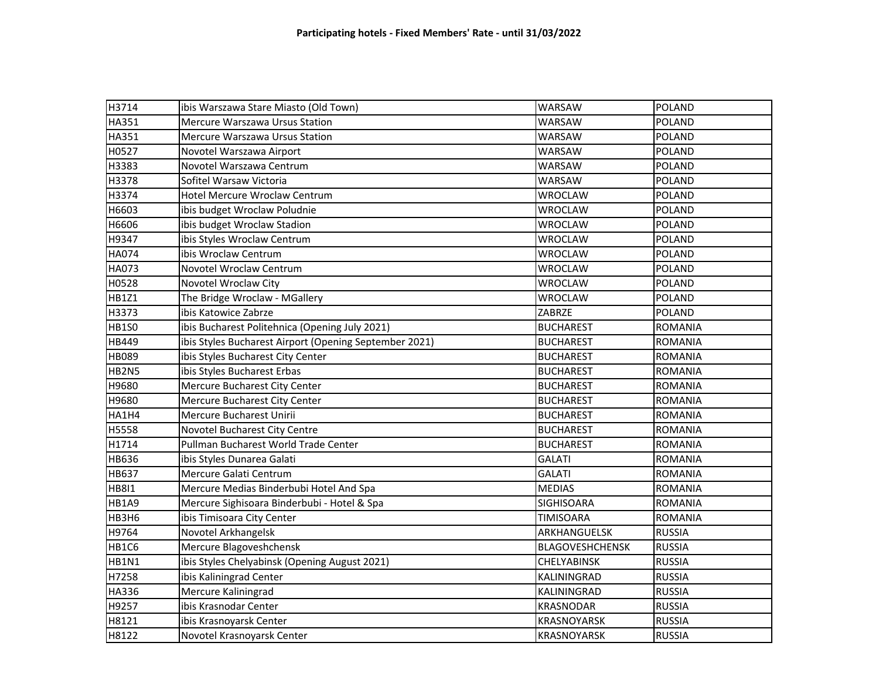| H3714        | ibis Warszawa Stare Miasto (Old Town)                  | <b>WARSAW</b>          | <b>POLAND</b>  |
|--------------|--------------------------------------------------------|------------------------|----------------|
| HA351        | Mercure Warszawa Ursus Station                         | <b>WARSAW</b>          | <b>POLAND</b>  |
| <b>HA351</b> | Mercure Warszawa Ursus Station                         | <b>WARSAW</b>          | <b>POLAND</b>  |
| H0527        | Novotel Warszawa Airport                               | <b>WARSAW</b>          | <b>POLAND</b>  |
| H3383        | Novotel Warszawa Centrum                               | WARSAW                 | <b>POLAND</b>  |
| H3378        | Sofitel Warsaw Victoria                                | WARSAW                 | <b>POLAND</b>  |
| H3374        | <b>Hotel Mercure Wroclaw Centrum</b>                   | <b>WROCLAW</b>         | <b>POLAND</b>  |
| H6603        | ibis budget Wroclaw Poludnie                           | WROCLAW                | <b>POLAND</b>  |
| H6606        | ibis budget Wroclaw Stadion                            | <b>WROCLAW</b>         | <b>POLAND</b>  |
| H9347        | ibis Styles Wroclaw Centrum                            | <b>WROCLAW</b>         | <b>POLAND</b>  |
| <b>HA074</b> | ibis Wroclaw Centrum                                   | <b>WROCLAW</b>         | <b>POLAND</b>  |
| HA073        | Novotel Wroclaw Centrum                                | <b>WROCLAW</b>         | <b>POLAND</b>  |
| H0528        | Novotel Wroclaw City                                   | <b>WROCLAW</b>         | <b>POLAND</b>  |
| HB1Z1        | The Bridge Wroclaw - MGallery                          | <b>WROCLAW</b>         | <b>POLAND</b>  |
| H3373        | ibis Katowice Zabrze                                   | ZABRZE                 | <b>POLAND</b>  |
| <b>HB1S0</b> | ibis Bucharest Politehnica (Opening July 2021)         | <b>BUCHAREST</b>       | <b>ROMANIA</b> |
| HB449        | ibis Styles Bucharest Airport (Opening September 2021) | <b>BUCHAREST</b>       | <b>ROMANIA</b> |
| HB089        | ibis Styles Bucharest City Center                      | <b>BUCHAREST</b>       | <b>ROMANIA</b> |
| HB2N5        | ibis Styles Bucharest Erbas                            | <b>BUCHAREST</b>       | <b>ROMANIA</b> |
| H9680        | Mercure Bucharest City Center                          | <b>BUCHAREST</b>       | <b>ROMANIA</b> |
| H9680        | Mercure Bucharest City Center                          | <b>BUCHAREST</b>       | <b>ROMANIA</b> |
| HA1H4        | Mercure Bucharest Unirii                               | <b>BUCHAREST</b>       | <b>ROMANIA</b> |
| H5558        | Novotel Bucharest City Centre                          | <b>BUCHAREST</b>       | <b>ROMANIA</b> |
| H1714        | Pullman Bucharest World Trade Center                   | <b>BUCHAREST</b>       | <b>ROMANIA</b> |
| <b>HB636</b> | ibis Styles Dunarea Galati                             | <b>GALATI</b>          | <b>ROMANIA</b> |
| <b>HB637</b> | Mercure Galati Centrum                                 | <b>GALATI</b>          | <b>ROMANIA</b> |
| <b>HB8I1</b> | Mercure Medias Binderbubi Hotel And Spa                | <b>MEDIAS</b>          | <b>ROMANIA</b> |
| HB1A9        | Mercure Sighisoara Binderbubi - Hotel & Spa            | <b>SIGHISOARA</b>      | <b>ROMANIA</b> |
| <b>HB3H6</b> | ibis Timisoara City Center                             | <b>TIMISOARA</b>       | <b>ROMANIA</b> |
| H9764        | Novotel Arkhangelsk                                    | ARKHANGUELSK           | <b>RUSSIA</b>  |
| HB1C6        | Mercure Blagoveshchensk                                | <b>BLAGOVESHCHENSK</b> | <b>RUSSIA</b>  |
| HB1N1        | ibis Styles Chelyabinsk (Opening August 2021)          | <b>CHELYABINSK</b>     | <b>RUSSIA</b>  |
| H7258        | ibis Kaliningrad Center                                | KALININGRAD            | <b>RUSSIA</b>  |
| <b>HA336</b> | Mercure Kaliningrad                                    | KALININGRAD            | <b>RUSSIA</b>  |
| H9257        | ibis Krasnodar Center                                  | KRASNODAR              | <b>RUSSIA</b>  |
| H8121        | ibis Krasnoyarsk Center                                | <b>KRASNOYARSK</b>     | <b>RUSSIA</b>  |
| H8122        | Novotel Krasnoyarsk Center                             | <b>KRASNOYARSK</b>     | <b>RUSSIA</b>  |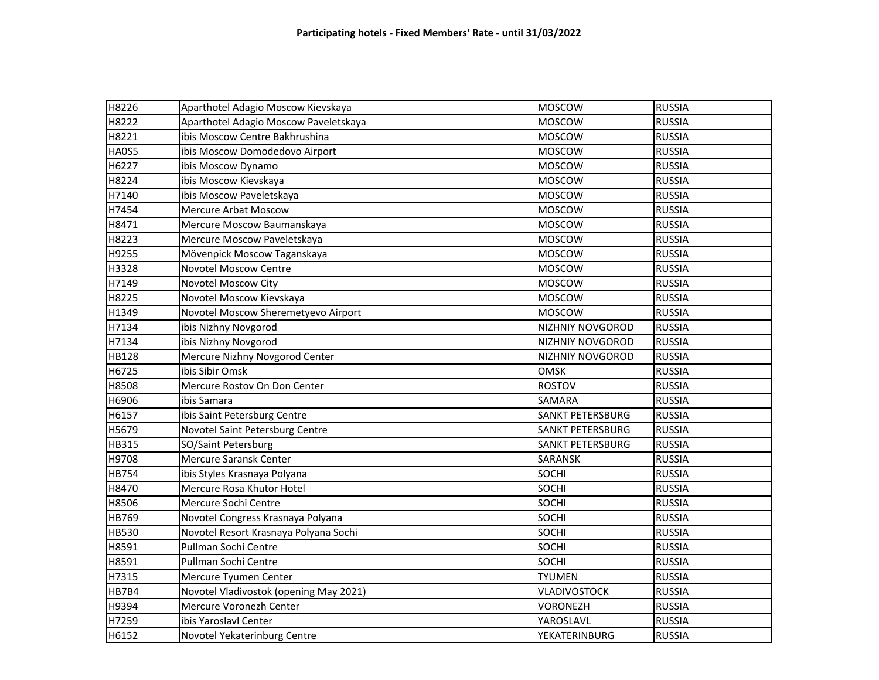| H8226        | Aparthotel Adagio Moscow Kievskaya     | <b>MOSCOW</b>           | <b>RUSSIA</b> |
|--------------|----------------------------------------|-------------------------|---------------|
| H8222        | Aparthotel Adagio Moscow Paveletskaya  | <b>MOSCOW</b>           | <b>RUSSIA</b> |
| H8221        | ibis Moscow Centre Bakhrushina         | MOSCOW                  | <b>RUSSIA</b> |
| <b>HA0S5</b> | ibis Moscow Domodedovo Airport         | <b>MOSCOW</b>           | <b>RUSSIA</b> |
| H6227        | ibis Moscow Dynamo                     | <b>MOSCOW</b>           | <b>RUSSIA</b> |
| H8224        | ibis Moscow Kievskaya                  | <b>MOSCOW</b>           | <b>RUSSIA</b> |
| H7140        | ibis Moscow Paveletskaya               | <b>MOSCOW</b>           | <b>RUSSIA</b> |
| H7454        | <b>Mercure Arbat Moscow</b>            | <b>MOSCOW</b>           | <b>RUSSIA</b> |
| H8471        | Mercure Moscow Baumanskaya             | <b>MOSCOW</b>           | <b>RUSSIA</b> |
| H8223        | Mercure Moscow Paveletskaya            | <b>MOSCOW</b>           | <b>RUSSIA</b> |
| H9255        | Mövenpick Moscow Taganskaya            | MOSCOW                  | <b>RUSSIA</b> |
| H3328        | <b>Novotel Moscow Centre</b>           | <b>MOSCOW</b>           | <b>RUSSIA</b> |
| H7149        | Novotel Moscow City                    | <b>MOSCOW</b>           | <b>RUSSIA</b> |
| H8225        | Novotel Moscow Kievskaya               | <b>MOSCOW</b>           | <b>RUSSIA</b> |
| H1349        | Novotel Moscow Sheremetyevo Airport    | <b>MOSCOW</b>           | <b>RUSSIA</b> |
| H7134        | ibis Nizhny Novgorod                   | NIZHNIY NOVGOROD        | <b>RUSSIA</b> |
| H7134        | ibis Nizhny Novgorod                   | NIZHNIY NOVGOROD        | <b>RUSSIA</b> |
| <b>HB128</b> | Mercure Nizhny Novgorod Center         | <b>NIZHNIY NOVGOROD</b> | <b>RUSSIA</b> |
| H6725        | ibis Sibir Omsk                        | <b>OMSK</b>             | <b>RUSSIA</b> |
| H8508        | Mercure Rostov On Don Center           | <b>ROSTOV</b>           | <b>RUSSIA</b> |
| H6906        | ibis Samara                            | SAMARA                  | <b>RUSSIA</b> |
| H6157        | ibis Saint Petersburg Centre           | <b>SANKT PETERSBURG</b> | <b>RUSSIA</b> |
| H5679        | Novotel Saint Petersburg Centre        | <b>SANKT PETERSBURG</b> | <b>RUSSIA</b> |
| HB315        | SO/Saint Petersburg                    | <b>SANKT PETERSBURG</b> | <b>RUSSIA</b> |
| H9708        | Mercure Saransk Center                 | SARANSK                 | <b>RUSSIA</b> |
| <b>HB754</b> | ibis Styles Krasnaya Polyana           | <b>SOCHI</b>            | <b>RUSSIA</b> |
| H8470        | Mercure Rosa Khutor Hotel              | SOCHI                   | <b>RUSSIA</b> |
| H8506        | Mercure Sochi Centre                   | <b>SOCHI</b>            | <b>RUSSIA</b> |
| HB769        | Novotel Congress Krasnaya Polyana      | <b>SOCHI</b>            | <b>RUSSIA</b> |
| <b>HB530</b> | Novotel Resort Krasnaya Polyana Sochi  | SOCHI                   | <b>RUSSIA</b> |
| H8591        | Pullman Sochi Centre                   | <b>SOCHI</b>            | <b>RUSSIA</b> |
| H8591        | Pullman Sochi Centre                   | <b>SOCHI</b>            | <b>RUSSIA</b> |
| H7315        | Mercure Tyumen Center                  | <b>TYUMEN</b>           | <b>RUSSIA</b> |
| HB7B4        | Novotel Vladivostok (opening May 2021) | <b>VLADIVOSTOCK</b>     | <b>RUSSIA</b> |
| H9394        | Mercure Voronezh Center                | <b>VORONEZH</b>         | <b>RUSSIA</b> |
| H7259        | ibis Yaroslavl Center                  | YAROSLAVL               | <b>RUSSIA</b> |
| H6152        | Novotel Yekaterinburg Centre           | <b>YEKATERINBURG</b>    | <b>RUSSIA</b> |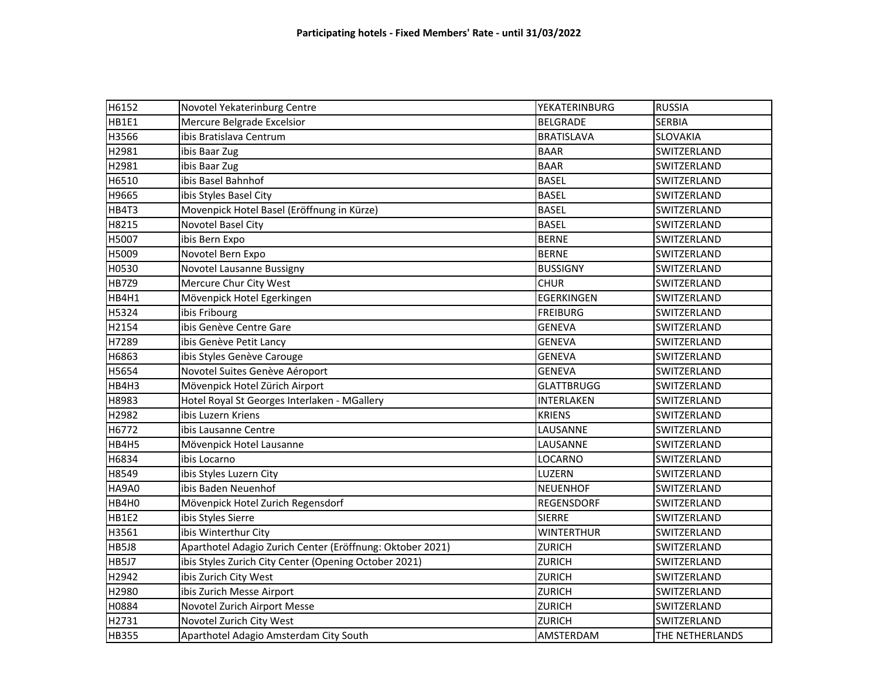| H6152        | Novotel Yekaterinburg Centre                              | YEKATERINBURG     | <b>RUSSIA</b>   |
|--------------|-----------------------------------------------------------|-------------------|-----------------|
| HB1E1        | Mercure Belgrade Excelsior                                | BELGRADE          | <b>SERBIA</b>   |
| H3566        | ibis Bratislava Centrum                                   | <b>BRATISLAVA</b> | SLOVAKIA        |
| H2981        | ibis Baar Zug                                             | <b>BAAR</b>       | SWITZERLAND     |
| H2981        | ibis Baar Zug                                             | <b>BAAR</b>       | SWITZERLAND     |
| H6510        | ibis Basel Bahnhof                                        | <b>BASEL</b>      | SWITZERLAND     |
| H9665        | ibis Styles Basel City                                    | <b>BASEL</b>      | SWITZERLAND     |
| HB4T3        | Movenpick Hotel Basel (Eröffnung in Kürze)                | <b>BASEL</b>      | SWITZERLAND     |
| H8215        | Novotel Basel City                                        | <b>BASEL</b>      | SWITZERLAND     |
| H5007        | ibis Bern Expo                                            | <b>BERNE</b>      | SWITZERLAND     |
| H5009        | Novotel Bern Expo                                         | <b>BERNE</b>      | SWITZERLAND     |
| H0530        | Novotel Lausanne Bussigny                                 | <b>BUSSIGNY</b>   | SWITZERLAND     |
| HB7Z9        | Mercure Chur City West                                    | <b>CHUR</b>       | SWITZERLAND     |
| HB4H1        | Mövenpick Hotel Egerkingen                                | EGERKINGEN        | SWITZERLAND     |
| H5324        | ibis Fribourg                                             | <b>FREIBURG</b>   | SWITZERLAND     |
| H2154        | ibis Genève Centre Gare                                   | <b>GENEVA</b>     | SWITZERLAND     |
| H7289        | ibis Genève Petit Lancy                                   | <b>GENEVA</b>     | SWITZERLAND     |
| H6863        | ibis Styles Genève Carouge                                | <b>GENEVA</b>     | SWITZERLAND     |
| H5654        | Novotel Suites Genève Aéroport                            | <b>GENEVA</b>     | SWITZERLAND     |
| HB4H3        | Mövenpick Hotel Zürich Airport                            | <b>GLATTBRUGG</b> | SWITZERLAND     |
| H8983        | Hotel Royal St Georges Interlaken - MGallery              | INTERLAKEN        | SWITZERLAND     |
| H2982        | ibis Luzern Kriens                                        | <b>KRIENS</b>     | SWITZERLAND     |
| H6772        | ibis Lausanne Centre                                      | LAUSANNE          | SWITZERLAND     |
| HB4H5        | Mövenpick Hotel Lausanne                                  | LAUSANNE          | SWITZERLAND     |
| H6834        | ibis Locarno                                              | LOCARNO           | SWITZERLAND     |
| H8549        | ibis Styles Luzern City                                   | LUZERN            | SWITZERLAND     |
| HA9A0        | ibis Baden Neuenhof                                       | <b>NEUENHOF</b>   | SWITZERLAND     |
| HB4H0        | Mövenpick Hotel Zurich Regensdorf                         | <b>REGENSDORF</b> | SWITZERLAND     |
| HB1E2        | ibis Styles Sierre                                        | <b>SIERRE</b>     | SWITZERLAND     |
| H3561        | ibis Winterthur City                                      | <b>WINTERTHUR</b> | SWITZERLAND     |
| HB5J8        | Aparthotel Adagio Zurich Center (Eröffnung: Oktober 2021) | <b>ZURICH</b>     | SWITZERLAND     |
| HB5J7        | ibis Styles Zurich City Center (Opening October 2021)     | <b>ZURICH</b>     | SWITZERLAND     |
| H2942        | ibis Zurich City West                                     | <b>ZURICH</b>     | SWITZERLAND     |
| H2980        | ibis Zurich Messe Airport                                 | <b>ZURICH</b>     | SWITZERLAND     |
| H0884        | Novotel Zurich Airport Messe                              | <b>ZURICH</b>     | SWITZERLAND     |
| H2731        | Novotel Zurich City West                                  | <b>ZURICH</b>     | SWITZERLAND     |
| <b>HB355</b> | Aparthotel Adagio Amsterdam City South                    | AMSTERDAM         | THE NETHERLANDS |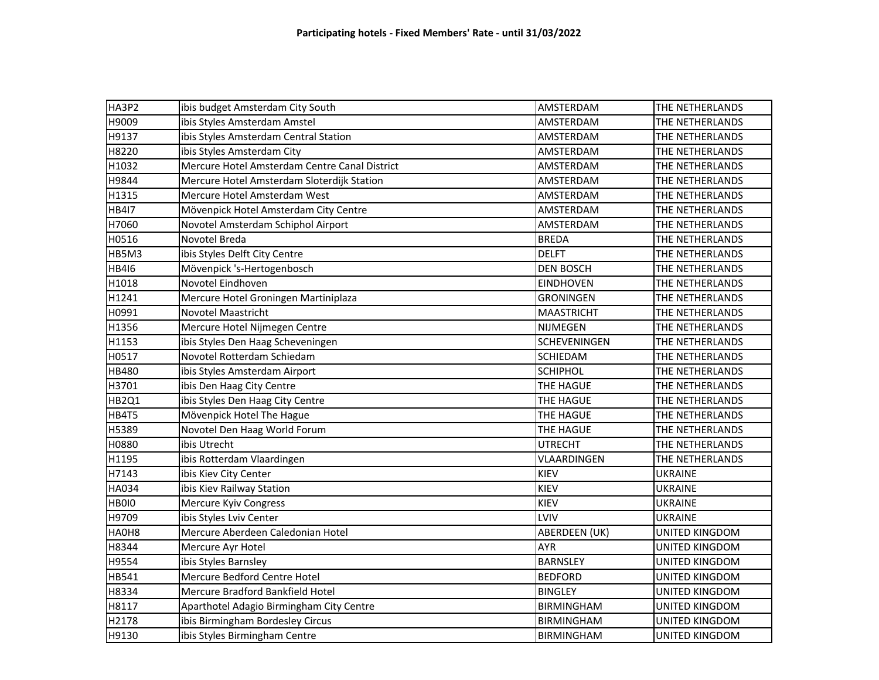| HA3P2        | ibis budget Amsterdam City South              | AMSTERDAM         | THE NETHERLANDS       |
|--------------|-----------------------------------------------|-------------------|-----------------------|
| H9009        | ibis Styles Amsterdam Amstel                  | AMSTERDAM         | THE NETHERLANDS       |
| H9137        | ibis Styles Amsterdam Central Station         | AMSTERDAM         | THE NETHERLANDS       |
| H8220        | ibis Styles Amsterdam City                    | AMSTERDAM         | THE NETHERLANDS       |
| H1032        | Mercure Hotel Amsterdam Centre Canal District | AMSTERDAM         | THE NETHERLANDS       |
| H9844        | Mercure Hotel Amsterdam Sloterdijk Station    | AMSTERDAM         | THE NETHERLANDS       |
| H1315        | Mercure Hotel Amsterdam West                  | AMSTERDAM         | THE NETHERLANDS       |
| <b>HB417</b> | Mövenpick Hotel Amsterdam City Centre         | AMSTERDAM         | THE NETHERLANDS       |
| H7060        | Novotel Amsterdam Schiphol Airport            | AMSTERDAM         | THE NETHERLANDS       |
| H0516        | Novotel Breda                                 | <b>BREDA</b>      | THE NETHERLANDS       |
| HB5M3        | ibis Styles Delft City Centre                 | <b>DELFT</b>      | THE NETHERLANDS       |
| <b>HB416</b> | Mövenpick 's-Hertogenbosch                    | <b>DEN BOSCH</b>  | THE NETHERLANDS       |
| H1018        | Novotel Eindhoven                             | <b>EINDHOVEN</b>  | THE NETHERLANDS       |
| H1241        | Mercure Hotel Groningen Martiniplaza          | <b>GRONINGEN</b>  | THE NETHERLANDS       |
| H0991        | <b>Novotel Maastricht</b>                     | <b>MAASTRICHT</b> | THE NETHERLANDS       |
| H1356        | Mercure Hotel Nijmegen Centre                 | NIJMEGEN          | THE NETHERLANDS       |
| H1153        | ibis Styles Den Haag Scheveningen             | SCHEVENINGEN      | THE NETHERLANDS       |
| H0517        | Novotel Rotterdam Schiedam                    | SCHIEDAM          | THE NETHERLANDS       |
| HB480        | ibis Styles Amsterdam Airport                 | <b>SCHIPHOL</b>   | THE NETHERLANDS       |
| H3701        | ibis Den Haag City Centre                     | THE HAGUE         | THE NETHERLANDS       |
| <b>HB2Q1</b> | ibis Styles Den Haag City Centre              | THE HAGUE         | THE NETHERLANDS       |
| HB4T5        | Mövenpick Hotel The Hague                     | THE HAGUE         | THE NETHERLANDS       |
| H5389        | Novotel Den Haag World Forum                  | THE HAGUE         | THE NETHERLANDS       |
| H0880        | ibis Utrecht                                  | <b>UTRECHT</b>    | THE NETHERLANDS       |
| H1195        | ibis Rotterdam Vlaardingen                    | VLAARDINGEN       | THE NETHERLANDS       |
| H7143        | ibis Kiev City Center                         | KIEV              | <b>UKRAINE</b>        |
| <b>HA034</b> | ibis Kiev Railway Station                     | <b>KIEV</b>       | <b>UKRAINE</b>        |
| HB0I0        | Mercure Kyiv Congress                         | KIEV              | <b>UKRAINE</b>        |
| H9709        | ibis Styles Lviv Center                       | LVIV              | <b>UKRAINE</b>        |
| HA0H8        | Mercure Aberdeen Caledonian Hotel             | ABERDEEN (UK)     | <b>UNITED KINGDOM</b> |
| H8344        | Mercure Ayr Hotel                             | <b>AYR</b>        | UNITED KINGDOM        |
| H9554        | ibis Styles Barnsley                          | <b>BARNSLEY</b>   | UNITED KINGDOM        |
| HB541        | Mercure Bedford Centre Hotel                  | <b>BEDFORD</b>    | <b>UNITED KINGDOM</b> |
| H8334        | Mercure Bradford Bankfield Hotel              | <b>BINGLEY</b>    | UNITED KINGDOM        |
| H8117        | Aparthotel Adagio Birmingham City Centre      | <b>BIRMINGHAM</b> | UNITED KINGDOM        |
| H2178        | ibis Birmingham Bordesley Circus              | <b>BIRMINGHAM</b> | UNITED KINGDOM        |
| H9130        | ibis Styles Birmingham Centre                 | <b>BIRMINGHAM</b> | UNITED KINGDOM        |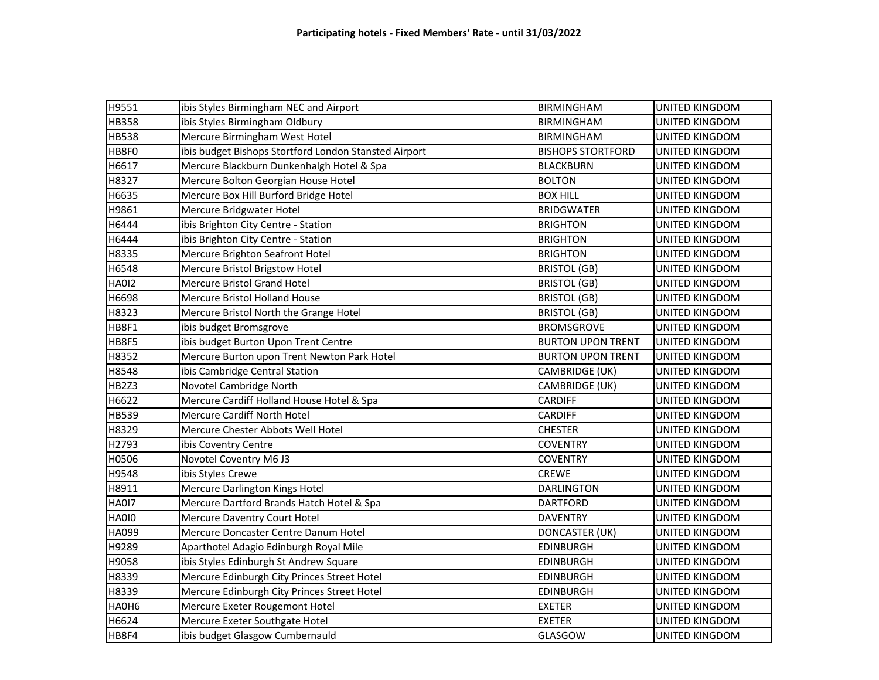| H9551        | ibis Styles Birmingham NEC and Airport                | <b>BIRMINGHAM</b>        | UNITED KINGDOM        |
|--------------|-------------------------------------------------------|--------------------------|-----------------------|
| <b>HB358</b> | ibis Styles Birmingham Oldbury                        | <b>BIRMINGHAM</b>        | <b>UNITED KINGDOM</b> |
| <b>HB538</b> | Mercure Birmingham West Hotel                         | <b>BIRMINGHAM</b>        | UNITED KINGDOM        |
| HB8F0        | ibis budget Bishops Stortford London Stansted Airport | <b>BISHOPS STORTFORD</b> | UNITED KINGDOM        |
| H6617        | Mercure Blackburn Dunkenhalgh Hotel & Spa             | <b>BLACKBURN</b>         | UNITED KINGDOM        |
| H8327        | Mercure Bolton Georgian House Hotel                   | <b>BOLTON</b>            | UNITED KINGDOM        |
| H6635        | Mercure Box Hill Burford Bridge Hotel                 | <b>BOX HILL</b>          | UNITED KINGDOM        |
| H9861        | Mercure Bridgwater Hotel                              | <b>BRIDGWATER</b>        | UNITED KINGDOM        |
| H6444        | ibis Brighton City Centre - Station                   | <b>BRIGHTON</b>          | UNITED KINGDOM        |
| H6444        | ibis Brighton City Centre - Station                   | <b>BRIGHTON</b>          | UNITED KINGDOM        |
| H8335        | Mercure Brighton Seafront Hotel                       | <b>BRIGHTON</b>          | UNITED KINGDOM        |
| H6548        | Mercure Bristol Brigstow Hotel                        | <b>BRISTOL (GB)</b>      | UNITED KINGDOM        |
| <b>HA012</b> | <b>Mercure Bristol Grand Hotel</b>                    | <b>BRISTOL (GB)</b>      | UNITED KINGDOM        |
| H6698        | <b>Mercure Bristol Holland House</b>                  | <b>BRISTOL (GB)</b>      | UNITED KINGDOM        |
| H8323        | Mercure Bristol North the Grange Hotel                | <b>BRISTOL (GB)</b>      | UNITED KINGDOM        |
| HB8F1        | ibis budget Bromsgrove                                | <b>BROMSGROVE</b>        | UNITED KINGDOM        |
| HB8F5        | ibis budget Burton Upon Trent Centre                  | <b>BURTON UPON TRENT</b> | UNITED KINGDOM        |
| H8352        | Mercure Burton upon Trent Newton Park Hotel           | <b>BURTON UPON TRENT</b> | UNITED KINGDOM        |
| H8548        | ibis Cambridge Central Station                        | CAMBRIDGE (UK)           | UNITED KINGDOM        |
| HB2Z3        | Novotel Cambridge North                               | CAMBRIDGE (UK)           | UNITED KINGDOM        |
| H6622        | Mercure Cardiff Holland House Hotel & Spa             | <b>CARDIFF</b>           | UNITED KINGDOM        |
| HB539        | Mercure Cardiff North Hotel                           | <b>CARDIFF</b>           | UNITED KINGDOM        |
| H8329        | Mercure Chester Abbots Well Hotel                     | <b>CHESTER</b>           | UNITED KINGDOM        |
| H2793        | ibis Coventry Centre                                  | <b>COVENTRY</b>          | UNITED KINGDOM        |
| H0506        | Novotel Coventry M6 J3                                | <b>COVENTRY</b>          | UNITED KINGDOM        |
| H9548        | ibis Styles Crewe                                     | <b>CREWE</b>             | UNITED KINGDOM        |
| H8911        | Mercure Darlington Kings Hotel                        | <b>DARLINGTON</b>        | UNITED KINGDOM        |
| <b>HA017</b> | Mercure Dartford Brands Hatch Hotel & Spa             | <b>DARTFORD</b>          | UNITED KINGDOM        |
| <b>HA010</b> | Mercure Daventry Court Hotel                          | <b>DAVENTRY</b>          | UNITED KINGDOM        |
| HA099        | Mercure Doncaster Centre Danum Hotel                  | <b>DONCASTER (UK)</b>    | UNITED KINGDOM        |
| H9289        | Aparthotel Adagio Edinburgh Royal Mile                | <b>EDINBURGH</b>         | UNITED KINGDOM        |
| H9058        | ibis Styles Edinburgh St Andrew Square                | <b>EDINBURGH</b>         | UNITED KINGDOM        |
| H8339        | Mercure Edinburgh City Princes Street Hotel           | <b>EDINBURGH</b>         | UNITED KINGDOM        |
| H8339        | Mercure Edinburgh City Princes Street Hotel           | <b>EDINBURGH</b>         | UNITED KINGDOM        |
| HA0H6        | Mercure Exeter Rougemont Hotel                        | <b>EXETER</b>            | UNITED KINGDOM        |
| H6624        | Mercure Exeter Southgate Hotel                        | <b>EXETER</b>            | UNITED KINGDOM        |
| HB8F4        | ibis budget Glasgow Cumbernauld                       | <b>GLASGOW</b>           | UNITED KINGDOM        |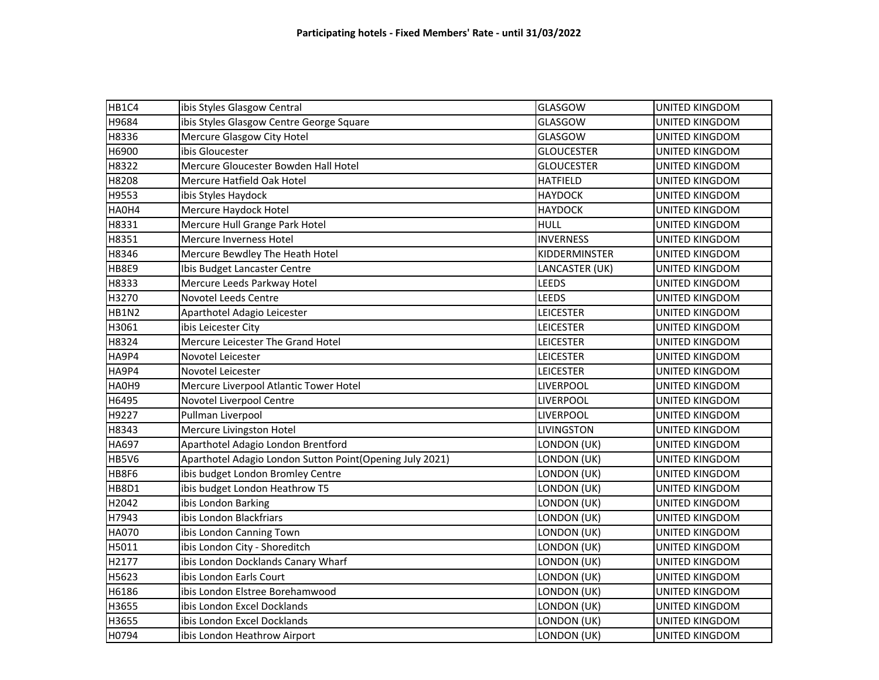| HB1C4        | ibis Styles Glasgow Central                              | GLASGOW           | <b>UNITED KINGDOM</b> |
|--------------|----------------------------------------------------------|-------------------|-----------------------|
| H9684        | ibis Styles Glasgow Centre George Square                 | GLASGOW           | UNITED KINGDOM        |
| H8336        | Mercure Glasgow City Hotel                               | <b>GLASGOW</b>    | UNITED KINGDOM        |
| H6900        | ibis Gloucester                                          | <b>GLOUCESTER</b> | UNITED KINGDOM        |
| H8322        | Mercure Gloucester Bowden Hall Hotel                     | <b>GLOUCESTER</b> | <b>UNITED KINGDOM</b> |
| H8208        | Mercure Hatfield Oak Hotel                               | <b>HATFIELD</b>   | UNITED KINGDOM        |
| H9553        | ibis Styles Haydock                                      | <b>HAYDOCK</b>    | <b>UNITED KINGDOM</b> |
| HA0H4        | Mercure Haydock Hotel                                    | <b>HAYDOCK</b>    | UNITED KINGDOM        |
| H8331        | Mercure Hull Grange Park Hotel                           | <b>HULL</b>       | <b>UNITED KINGDOM</b> |
| H8351        | Mercure Inverness Hotel                                  | <b>INVERNESS</b>  | <b>UNITED KINGDOM</b> |
| H8346        | Mercure Bewdley The Heath Hotel                          | KIDDERMINSTER     | UNITED KINGDOM        |
| <b>HB8E9</b> | Ibis Budget Lancaster Centre                             | LANCASTER (UK)    | <b>UNITED KINGDOM</b> |
| H8333        | Mercure Leeds Parkway Hotel                              | <b>LEEDS</b>      | UNITED KINGDOM        |
| H3270        | Novotel Leeds Centre                                     | <b>LEEDS</b>      | UNITED KINGDOM        |
| <b>HB1N2</b> | Aparthotel Adagio Leicester                              | <b>LEICESTER</b>  | UNITED KINGDOM        |
| H3061        | ibis Leicester City                                      | <b>LEICESTER</b>  | UNITED KINGDOM        |
| H8324        | Mercure Leicester The Grand Hotel                        | <b>LEICESTER</b>  | <b>UNITED KINGDOM</b> |
| HA9P4        | Novotel Leicester                                        | <b>LEICESTER</b>  | UNITED KINGDOM        |
| HA9P4        | Novotel Leicester                                        | <b>LEICESTER</b>  | <b>UNITED KINGDOM</b> |
| HA0H9        | Mercure Liverpool Atlantic Tower Hotel                   | <b>LIVERPOOL</b>  | UNITED KINGDOM        |
| H6495        | Novotel Liverpool Centre                                 | <b>LIVERPOOL</b>  | UNITED KINGDOM        |
| H9227        | Pullman Liverpool                                        | LIVERPOOL         | <b>UNITED KINGDOM</b> |
| H8343        | Mercure Livingston Hotel                                 | <b>LIVINGSTON</b> | UNITED KINGDOM        |
| HA697        | Aparthotel Adagio London Brentford                       | LONDON (UK)       | UNITED KINGDOM        |
| <b>HB5V6</b> | Aparthotel Adagio London Sutton Point(Opening July 2021) | LONDON (UK)       | UNITED KINGDOM        |
| HB8F6        | ibis budget London Bromley Centre                        | LONDON (UK)       | UNITED KINGDOM        |
| HB8D1        | ibis budget London Heathrow T5                           | LONDON (UK)       | <b>UNITED KINGDOM</b> |
| H2042        | ibis London Barking                                      | LONDON (UK)       | UNITED KINGDOM        |
| H7943        | ibis London Blackfriars                                  | LONDON (UK)       | UNITED KINGDOM        |
| <b>HA070</b> | ibis London Canning Town                                 | LONDON (UK)       | UNITED KINGDOM        |
| H5011        | ibis London City - Shoreditch                            | LONDON (UK)       | UNITED KINGDOM        |
| H2177        | ibis London Docklands Canary Wharf                       | LONDON (UK)       | <b>UNITED KINGDOM</b> |
| H5623        | ibis London Earls Court                                  | LONDON (UK)       | UNITED KINGDOM        |
| H6186        | ibis London Elstree Borehamwood                          | LONDON (UK)       | UNITED KINGDOM        |
| H3655        | ibis London Excel Docklands                              | LONDON (UK)       | UNITED KINGDOM        |
| H3655        | ibis London Excel Docklands                              | LONDON (UK)       | UNITED KINGDOM        |
| H0794        | ibis London Heathrow Airport                             | LONDON (UK)       | UNITED KINGDOM        |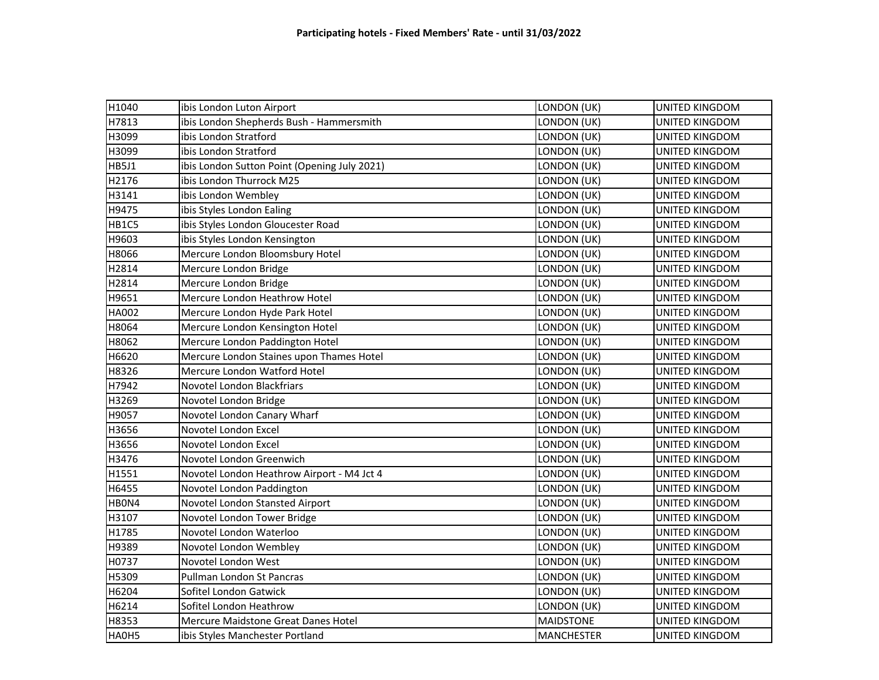| H1040        | ibis London Luton Airport                    | LONDON (UK)       | <b>UNITED KINGDOM</b> |
|--------------|----------------------------------------------|-------------------|-----------------------|
| H7813        | ibis London Shepherds Bush - Hammersmith     | LONDON (UK)       | <b>UNITED KINGDOM</b> |
| H3099        | ibis London Stratford                        | LONDON (UK)       | UNITED KINGDOM        |
| H3099        | ibis London Stratford                        | LONDON (UK)       | UNITED KINGDOM        |
| HB5J1        | ibis London Sutton Point (Opening July 2021) | LONDON (UK)       | UNITED KINGDOM        |
| H2176        | ibis London Thurrock M25                     | LONDON (UK)       | <b>UNITED KINGDOM</b> |
| H3141        | ibis London Wembley                          | LONDON (UK)       | UNITED KINGDOM        |
| H9475        | ibis Styles London Ealing                    | LONDON (UK)       | UNITED KINGDOM        |
| HB1C5        | ibis Styles London Gloucester Road           | LONDON (UK)       | UNITED KINGDOM        |
| H9603        | ibis Styles London Kensington                | LONDON (UK)       | <b>UNITED KINGDOM</b> |
| H8066        | Mercure London Bloomsbury Hotel              | LONDON (UK)       | UNITED KINGDOM        |
| H2814        | Mercure London Bridge                        | LONDON (UK)       | UNITED KINGDOM        |
| H2814        | Mercure London Bridge                        | LONDON (UK)       | UNITED KINGDOM        |
| H9651        | Mercure London Heathrow Hotel                | LONDON (UK)       | UNITED KINGDOM        |
| <b>HA002</b> | Mercure London Hyde Park Hotel               | LONDON (UK)       | <b>UNITED KINGDOM</b> |
| H8064        | Mercure London Kensington Hotel              | LONDON (UK)       | UNITED KINGDOM        |
| H8062        | Mercure London Paddington Hotel              | LONDON (UK)       | <b>UNITED KINGDOM</b> |
| H6620        | Mercure London Staines upon Thames Hotel     | LONDON (UK)       | UNITED KINGDOM        |
| H8326        | Mercure London Watford Hotel                 | LONDON (UK)       | UNITED KINGDOM        |
| H7942        | Novotel London Blackfriars                   | LONDON (UK)       | UNITED KINGDOM        |
| H3269        | Novotel London Bridge                        | LONDON (UK)       | UNITED KINGDOM        |
| H9057        | Novotel London Canary Wharf                  | LONDON (UK)       | <b>UNITED KINGDOM</b> |
| H3656        | Novotel London Excel                         | LONDON (UK)       | UNITED KINGDOM        |
| H3656        | Novotel London Excel                         | LONDON (UK)       | UNITED KINGDOM        |
| H3476        | Novotel London Greenwich                     | LONDON (UK)       | UNITED KINGDOM        |
| H1551        | Novotel London Heathrow Airport - M4 Jct 4   | LONDON (UK)       | UNITED KINGDOM        |
| H6455        | Novotel London Paddington                    | LONDON (UK)       | UNITED KINGDOM        |
| HBON4        | Novotel London Stansted Airport              | LONDON (UK)       | UNITED KINGDOM        |
| H3107        | Novotel London Tower Bridge                  | LONDON (UK)       | UNITED KINGDOM        |
| H1785        | Novotel London Waterloo                      | LONDON (UK)       | UNITED KINGDOM        |
| H9389        | Novotel London Wembley                       | LONDON (UK)       | UNITED KINGDOM        |
| H0737        | Novotel London West                          | LONDON (UK)       | <b>UNITED KINGDOM</b> |
| H5309        | Pullman London St Pancras                    | LONDON (UK)       | UNITED KINGDOM        |
| H6204        | Sofitel London Gatwick                       | LONDON (UK)       | UNITED KINGDOM        |
| H6214        | Sofitel London Heathrow                      | LONDON (UK)       | UNITED KINGDOM        |
| H8353        | Mercure Maidstone Great Danes Hotel          | <b>MAIDSTONE</b>  | UNITED KINGDOM        |
| HA0H5        | ibis Styles Manchester Portland              | <b>MANCHESTER</b> | UNITED KINGDOM        |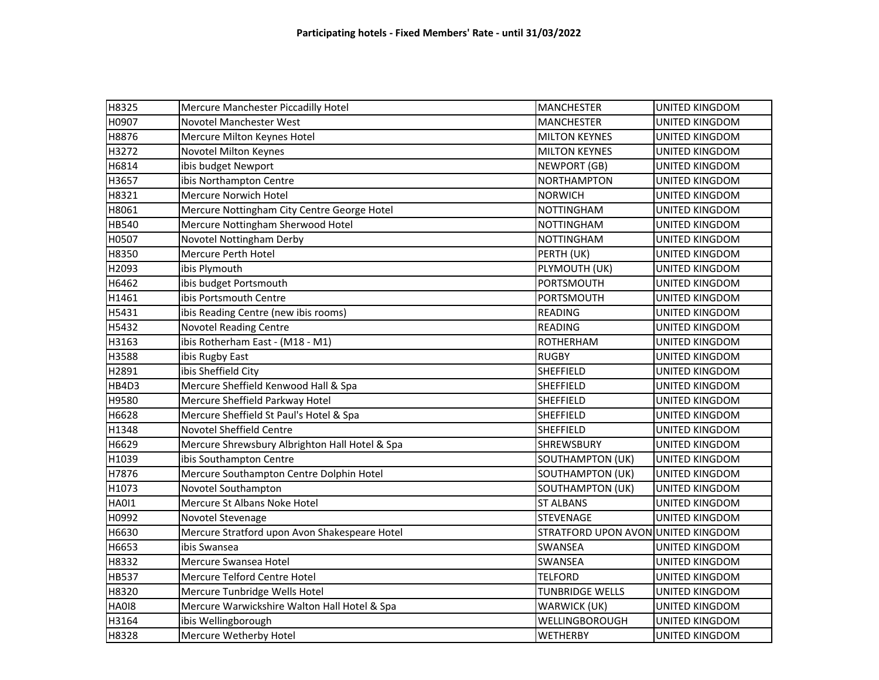| H8325        | Mercure Manchester Piccadilly Hotel            | <b>MANCHESTER</b>                  | <b>UNITED KINGDOM</b> |
|--------------|------------------------------------------------|------------------------------------|-----------------------|
| H0907        | Novotel Manchester West                        | <b>MANCHESTER</b>                  | UNITED KINGDOM        |
| H8876        | Mercure Milton Keynes Hotel                    | <b>MILTON KEYNES</b>               | UNITED KINGDOM        |
| H3272        | Novotel Milton Keynes                          | <b>MILTON KEYNES</b>               | <b>UNITED KINGDOM</b> |
| H6814        | ibis budget Newport                            | <b>NEWPORT (GB)</b>                | <b>UNITED KINGDOM</b> |
| H3657        | ibis Northampton Centre                        | <b>NORTHAMPTON</b>                 | UNITED KINGDOM        |
| H8321        | <b>Mercure Norwich Hotel</b>                   | <b>NORWICH</b>                     | <b>UNITED KINGDOM</b> |
| H8061        | Mercure Nottingham City Centre George Hotel    | <b>NOTTINGHAM</b>                  | UNITED KINGDOM        |
| HB540        | Mercure Nottingham Sherwood Hotel              | <b>NOTTINGHAM</b>                  | <b>UNITED KINGDOM</b> |
| H0507        | Novotel Nottingham Derby                       | <b>NOTTINGHAM</b>                  | <b>UNITED KINGDOM</b> |
| H8350        | Mercure Perth Hotel                            | PERTH (UK)                         | UNITED KINGDOM        |
| H2093        | ibis Plymouth                                  | PLYMOUTH (UK)                      | <b>UNITED KINGDOM</b> |
| H6462        | ibis budget Portsmouth                         | PORTSMOUTH                         | UNITED KINGDOM        |
| H1461        | ibis Portsmouth Centre                         | PORTSMOUTH                         | <b>UNITED KINGDOM</b> |
| H5431        | ibis Reading Centre (new ibis rooms)           | <b>READING</b>                     | UNITED KINGDOM        |
| H5432        | <b>Novotel Reading Centre</b>                  | <b>READING</b>                     | UNITED KINGDOM        |
| H3163        | ibis Rotherham East - (M18 - M1)               | <b>ROTHERHAM</b>                   | <b>UNITED KINGDOM</b> |
| H3588        | ibis Rugby East                                | <b>RUGBY</b>                       | UNITED KINGDOM        |
| H2891        | ibis Sheffield City                            | <b>SHEFFIELD</b>                   | <b>UNITED KINGDOM</b> |
| HB4D3        | Mercure Sheffield Kenwood Hall & Spa           | <b>SHEFFIELD</b>                   | UNITED KINGDOM        |
| H9580        | Mercure Sheffield Parkway Hotel                | <b>SHEFFIELD</b>                   | UNITED KINGDOM        |
| H6628        | Mercure Sheffield St Paul's Hotel & Spa        | SHEFFIELD                          | <b>UNITED KINGDOM</b> |
| H1348        | Novotel Sheffield Centre                       | <b>SHEFFIELD</b>                   | UNITED KINGDOM        |
| H6629        | Mercure Shrewsbury Albrighton Hall Hotel & Spa | <b>SHREWSBURY</b>                  | UNITED KINGDOM        |
| H1039        | ibis Southampton Centre                        | <b>SOUTHAMPTON (UK)</b>            | <b>UNITED KINGDOM</b> |
| H7876        | Mercure Southampton Centre Dolphin Hotel       | <b>SOUTHAMPTON (UK)</b>            | UNITED KINGDOM        |
| H1073        | Novotel Southampton                            | <b>SOUTHAMPTON (UK)</b>            | <b>UNITED KINGDOM</b> |
| <b>HA011</b> | Mercure St Albans Noke Hotel                   | <b>ST ALBANS</b>                   | UNITED KINGDOM        |
| H0992        | Novotel Stevenage                              | <b>STEVENAGE</b>                   | UNITED KINGDOM        |
| H6630        | Mercure Stratford upon Avon Shakespeare Hotel  | STRATFORD UPON AVON UNITED KINGDOM |                       |
| H6653        | ibis Swansea                                   | <b>SWANSEA</b>                     | UNITED KINGDOM        |
| H8332        | Mercure Swansea Hotel                          | <b>SWANSEA</b>                     | <b>UNITED KINGDOM</b> |
| <b>HB537</b> | Mercure Telford Centre Hotel                   | <b>TELFORD</b>                     | UNITED KINGDOM        |
| H8320        | Mercure Tunbridge Wells Hotel                  | <b>TUNBRIDGE WELLS</b>             | UNITED KINGDOM        |
| <b>HA018</b> | Mercure Warwickshire Walton Hall Hotel & Spa   | WARWICK (UK)                       | UNITED KINGDOM        |
| H3164        | ibis Wellingborough                            | WELLINGBOROUGH                     | UNITED KINGDOM        |
| H8328        | Mercure Wetherby Hotel                         | <b>WETHERBY</b>                    | UNITED KINGDOM        |